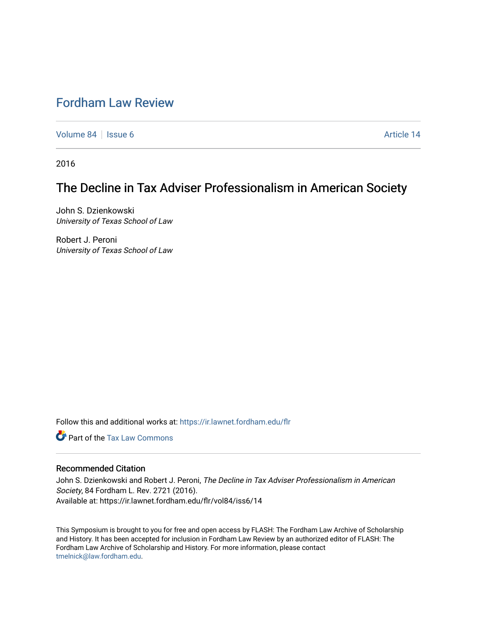## [Fordham Law Review](https://ir.lawnet.fordham.edu/flr)

[Volume 84](https://ir.lawnet.fordham.edu/flr/vol84) | [Issue 6](https://ir.lawnet.fordham.edu/flr/vol84/iss6) Article 14

2016

# The Decline in Tax Adviser Professionalism in American Society

John S. Dzienkowski University of Texas School of Law

Robert J. Peroni University of Texas School of Law

Follow this and additional works at: [https://ir.lawnet.fordham.edu/flr](https://ir.lawnet.fordham.edu/flr?utm_source=ir.lawnet.fordham.edu%2Fflr%2Fvol84%2Fiss6%2F14&utm_medium=PDF&utm_campaign=PDFCoverPages)

**C** Part of the [Tax Law Commons](http://network.bepress.com/hgg/discipline/898?utm_source=ir.lawnet.fordham.edu%2Fflr%2Fvol84%2Fiss6%2F14&utm_medium=PDF&utm_campaign=PDFCoverPages)

### Recommended Citation

John S. Dzienkowski and Robert J. Peroni, The Decline in Tax Adviser Professionalism in American Society, 84 Fordham L. Rev. 2721 (2016). Available at: https://ir.lawnet.fordham.edu/flr/vol84/iss6/14

This Symposium is brought to you for free and open access by FLASH: The Fordham Law Archive of Scholarship and History. It has been accepted for inclusion in Fordham Law Review by an authorized editor of FLASH: The Fordham Law Archive of Scholarship and History. For more information, please contact [tmelnick@law.fordham.edu](mailto:tmelnick@law.fordham.edu).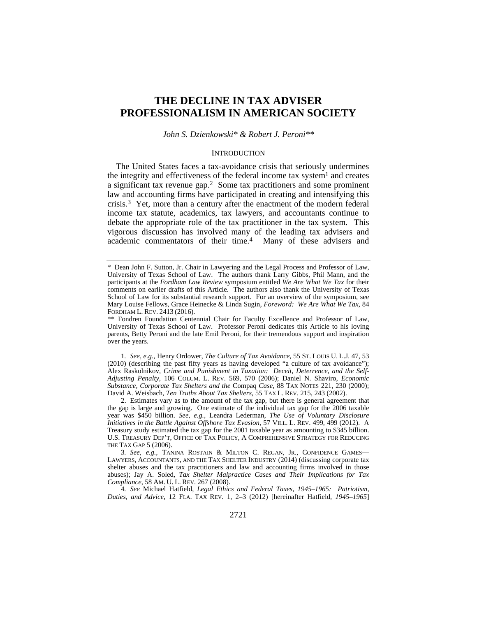### **THE DECLINE IN TAX ADVISER PROFESSIONALISM IN AMERICAN SOCIETY**

*John S. Dzienkowski\* & Robert J. Peroni\*\** 

#### **INTRODUCTION**

The United States faces a tax-avoidance crisis that seriously undermines the integrity and effectiveness of the federal income tax system<sup>1</sup> and creates a significant tax revenue gap.2 Some tax practitioners and some prominent law and accounting firms have participated in creating and intensifying this crisis.<sup>3</sup> Yet, more than a century after the enactment of the modern federal income tax statute, academics, tax lawyers, and accountants continue to debate the appropriate role of the tax practitioner in the tax system. This vigorous discussion has involved many of the leading tax advisers and academic commentators of their time.4 Many of these advisers and

1*. See, e.g.*, Henry Ordower, *The Culture of Tax Avoidance*, 55 ST. LOUIS U. L.J. 47, 53 (2010) (describing the past fifty years as having developed "a culture of tax avoidance"); Alex Raskolnikov, *Crime and Punishment in Taxation: Deceit, Deterrence, and the Self-Adjusting Penalty*, 106 COLUM. L. REV. 569, 570 (2006); Daniel N. Shaviro, *Economic Substance, Corporate Tax Shelters and the* Compaq *Case*, 88 TAX NOTES 221, 230 (2000); David A. Weisbach, *Ten Truths About Tax Shelters*, 55 TAX L. REV. 215, 243 (2002).

 2. Estimates vary as to the amount of the tax gap, but there is general agreement that the gap is large and growing. One estimate of the individual tax gap for the 2006 taxable year was \$450 billion. *See, e.g.*, Leandra Lederman, *The Use of Voluntary Disclosure Initiatives in the Battle Against Offshore Tax Evasion*, 57 VILL. L. REV. 499, 499 (2012). A Treasury study estimated the tax gap for the 2001 taxable year as amounting to \$345 billion. U.S. TREASURY DEP'T, OFFICE OF TAX POLICY, A COMPREHENSIVE STRATEGY FOR REDUCING THE TAX GAP 5 (2006).

3*. See, e.g.*, TANINA ROSTAIN & MILTON C. REGAN, JR., CONFIDENCE GAMES— LAWYERS, ACCOUNTANTS, AND THE TAX SHELTER INDUSTRY (2014) (discussing corporate tax shelter abuses and the tax practitioners and law and accounting firms involved in those abuses); Jay A. Soled, *Tax Shelter Malpractice Cases and Their Implications for Tax Compliance*, 58 AM. U. L. REV. 267 (2008).

4*. See* Michael Hatfield, *Legal Ethics and Federal Taxes, 1945–1965: Patriotism, Duties, and Advice*, 12 FLA. TAX REV. 1, 2–3 (2012) [hereinafter Hatfield, *1945–1965*]

<sup>\*</sup> Dean John F. Sutton, Jr. Chair in Lawyering and the Legal Process and Professor of Law, University of Texas School of Law. The authors thank Larry Gibbs, Phil Mann, and the participants at the *Fordham Law Review* symposium entitled *We Are What We Tax* for their comments on earlier drafts of this Article. The authors also thank the University of Texas School of Law for its substantial research support. For an overview of the symposium, see Mary Louise Fellows, Grace Heinecke & Linda Sugin, *Foreword: We Are What We Tax*, 84 FORDHAM L. REV. 2413 (2016).

<sup>\*\*</sup> Fondren Foundation Centennial Chair for Faculty Excellence and Professor of Law, University of Texas School of Law. Professor Peroni dedicates this Article to his loving parents, Betty Peroni and the late Emil Peroni, for their tremendous support and inspiration over the years.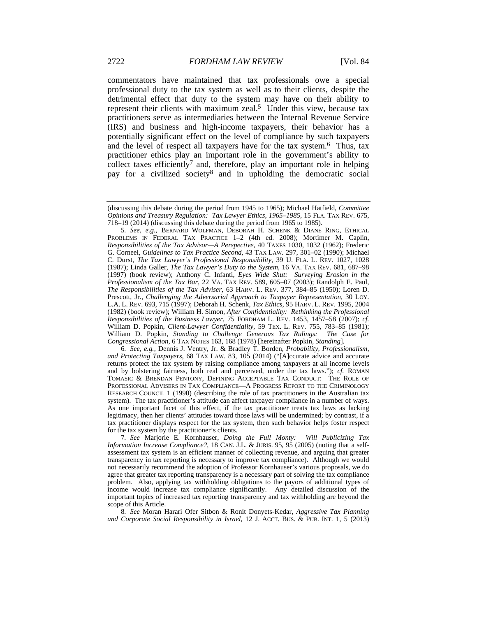commentators have maintained that tax professionals owe a special professional duty to the tax system as well as to their clients, despite the detrimental effect that duty to the system may have on their ability to represent their clients with maximum zeal.<sup>5</sup> Under this view, because tax practitioners serve as intermediaries between the Internal Revenue Service (IRS) and business and high-income taxpayers, their behavior has a potentially significant effect on the level of compliance by such taxpayers and the level of respect all taxpayers have for the tax system.6 Thus, tax practitioner ethics play an important role in the government's ability to collect taxes efficiently<sup>7</sup> and, therefore, play an important role in helping pay for a civilized society8 and in upholding the democratic social

5*. See, e.g.*, BERNARD WOLFMAN, DEBORAH H. SCHENK & DIANE RING, ETHICAL PROBLEMS IN FEDERAL TAX PRACTICE 1–2 (4th ed. 2008); Mortimer M. Caplin, *Responsibilities of the Tax Advisor—A Perspective*, 40 TAXES 1030, 1032 (1962); Frederic G. Corneel, *Guidelines to Tax Practice Second*, 43 TAX LAW. 297, 301–02 (1990); Michael C. Durst, *The Tax Lawyer's Professional Responsibility*, 39 U. FLA. L. REV. 1027, 1028 (1987); Linda Galler, *The Tax Lawyer's Duty to the System*, 16 VA. TAX REV. 681, 687–98 (1997) (book review); Anthony C. Infanti, *Eyes Wide Shut: Surveying Erosion in the Professionalism of the Tax Bar*, 22 VA. TAX REV. 589, 605–07 (2003); Randolph E. Paul, *The Responsibilities of the Tax Adviser*, 63 HARV. L. REV. 377, 384–85 (1950); Loren D. Prescott, Jr., *Challenging the Adversarial Approach to Taxpayer Representation*, 30 LOY. L.A. L. REV. 693, 715 (1997); Deborah H. Schenk, *Tax Ethics*, 95 HARV. L. REV. 1995, 2004 (1982) (book review); William H. Simon, *After Confidentiality: Rethinking the Professional Responsibilities of the Business Lawyer*, 75 FORDHAM L. REV. 1453, 1457–58 (2007); *cf.* William D. Popkin, *Client-Lawyer Confidentiality*, 59 TEX. L. REV. 755, 783–85 (1981); William D. Popkin, *Standing to Challenge Generous Tax Rulings: The Case for Congressional Action*, 6 TAX NOTES 163, 168 (1978) [hereinafter Popkin, *Standing*].

6*. See, e.g.*, Dennis J. Ventry, Jr. & Bradley T. Borden, *Probability, Professionalism, and Protecting Taxpayers*, 68 TAX LAW. 83, 105 (2014) ("[A]ccurate advice and accurate returns protect the tax system by raising compliance among taxpayers at all income levels and by bolstering fairness, both real and perceived, under the tax laws."); *cf.* ROMAN TOMASIC & BRENDAN PENTONY, DEFINING ACCEPTABLE TAX CONDUCT: THE ROLE OF PROFESSIONAL ADVISERS IN TAX COMPLIANCE—A PROGRESS REPORT TO THE CRIMINOLOGY RESEARCH COUNCIL 1 (1990) (describing the role of tax practitioners in the Australian tax system). The tax practitioner's attitude can affect taxpayer compliance in a number of ways. As one important facet of this effect, if the tax practitioner treats tax laws as lacking legitimacy, then her clients' attitudes toward those laws will be undermined; by contrast, if a tax practitioner displays respect for the tax system, then such behavior helps foster respect for the tax system by the practitioner's clients.

7*. See* Marjorie E. Kornhauser, *Doing the Full Monty: Will Publicizing Tax Information Increase Compliance?*, 18 CAN. J.L. & JURIS. 95, 95 (2005) (noting that a selfassessment tax system is an efficient manner of collecting revenue, and arguing that greater transparency in tax reporting is necessary to improve tax compliance). Although we would not necessarily recommend the adoption of Professor Kornhauser's various proposals, we do agree that greater tax reporting transparency is a necessary part of solving the tax compliance problem. Also, applying tax withholding obligations to the payors of additional types of income would increase tax compliance significantly. Any detailed discussion of the important topics of increased tax reporting transparency and tax withholding are beyond the scope of this Article.

8*. See* Moran Harari Ofer Sitbon & Ronit Donyets-Kedar, *Aggressive Tax Planning and Corporate Social Responsibility in Israel*, 12 J. ACCT. BUS. & PUB. INT. 1, 5 (2013)

<sup>(</sup>discussing this debate during the period from 1945 to 1965); Michael Hatfield, *Committee Opinions and Treasury Regulation: Tax Lawyer Ethics, 1965–1985*, 15 FLA. TAX REV. 675, 718–19 (2014) (discussing this debate during the period from 1965 to 1985).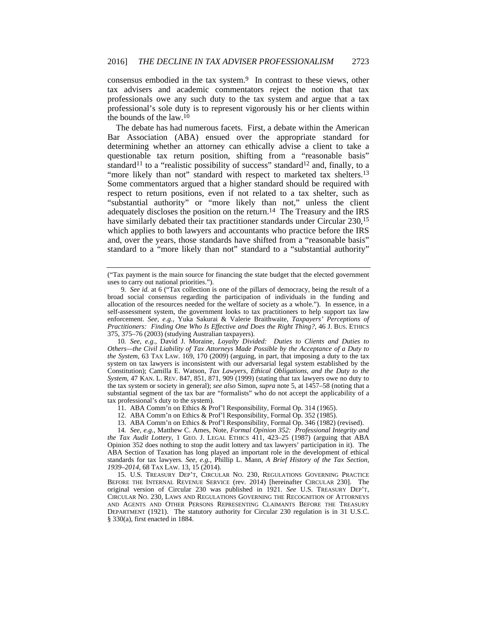consensus embodied in the tax system.<sup>9</sup> In contrast to these views, other tax advisers and academic commentators reject the notion that tax professionals owe any such duty to the tax system and argue that a tax professional's sole duty is to represent vigorously his or her clients within the bounds of the law.10

The debate has had numerous facets. First, a debate within the American Bar Association (ABA) ensued over the appropriate standard for determining whether an attorney can ethically advise a client to take a questionable tax return position, shifting from a "reasonable basis" standard<sup>11</sup> to a "realistic possibility of success" standard<sup>12</sup> and, finally, to a "more likely than not" standard with respect to marketed tax shelters.<sup>13</sup> Some commentators argued that a higher standard should be required with respect to return positions, even if not related to a tax shelter, such as "substantial authority" or "more likely than not," unless the client adequately discloses the position on the return.14 The Treasury and the IRS have similarly debated their tax practitioner standards under Circular 230,<sup>15</sup> which applies to both lawyers and accountants who practice before the IRS and, over the years, those standards have shifted from a "reasonable basis" standard to a "more likely than not" standard to a "substantial authority"

10*. See, e.g.*, David J. Moraine, *Loyalty Divided: Duties to Clients and Duties to Others—the Civil Liability of Tax Attorneys Made Possible by the Acceptance of a Duty to the System*, 63 TAX LAW. 169, 170 (2009) (arguing, in part, that imposing a duty to the tax system on tax lawyers is inconsistent with our adversarial legal system established by the Constitution); Camilla E. Watson, *Tax Lawyers, Ethical Obligations, and the Duty to the System*, 47 KAN. L. REV. 847, 851, 871, 909 (1999) (stating that tax lawyers owe no duty to the tax system or society in general); *see also* Simon, *supra* note 5, at 1457–58 (noting that a substantial segment of the tax bar are "formalists" who do not accept the applicability of a tax professional's duty to the system).

- 11. ABA Comm'n on Ethics & Prof'l Responsibility, Formal Op. 314 (1965).
- 12. ABA Comm'n on Ethics & Prof'l Responsibility, Formal Op. 352 (1985).
- 13. ABA Comm'n on Ethics & Prof'l Responsibility, Formal Op. 346 (1982) (revised).

14*. See, e.g.*, Matthew C. Ames, Note, *Formal Opinion 352: Professional Integrity and the Tax Audit Lottery*, 1 GEO. J. LEGAL ETHICS 411, 423–25 (1987) (arguing that ABA Opinion 352 does nothing to stop the audit lottery and tax lawyers' participation in it). The ABA Section of Taxation has long played an important role in the development of ethical standards for tax lawyers. *See, e.g.*, Phillip L. Mann, *A Brief History of the Tax Section, 1939–2014*, 68 TAX LAW. 13, 15 (2014).

 15. U.S. TREASURY DEP'T, CIRCULAR NO. 230, REGULATIONS GOVERNING PRACTICE BEFORE THE INTERNAL REVENUE SERVICE (rev. 2014) [hereinafter CIRCULAR 230]. The original version of Circular 230 was published in 1921. *See* U.S. TREASURY DEP'T, CIRCULAR NO. 230, LAWS AND REGULATIONS GOVERNING THE RECOGNITION OF ATTORNEYS AND AGENTS AND OTHER PERSONS REPRESENTING CLAIMANTS BEFORE THE TREASURY DEPARTMENT (1921). The statutory authority for Circular 230 regulation is in 31 U.S.C. § 330(a), first enacted in 1884.

<sup>(&</sup>quot;Tax payment is the main source for financing the state budget that the elected government uses to carry out national priorities.").

<sup>9</sup>*. See id.* at 6 ("Tax collection is one of the pillars of democracy, being the result of a broad social consensus regarding the participation of individuals in the funding and allocation of the resources needed for the welfare of society as a whole."). In essence, in a self-assessment system, the government looks to tax practitioners to help support tax law enforcement. *See, e.g.*, Yuka Sakurai & Valerie Braithwaite, *Taxpayers' Perceptions of Practitioners: Finding One Who Is Effective and Does the Right Thing?*, 46 J. BUS. ETHICS 375, 375–76 (2003) (studying Australian taxpayers).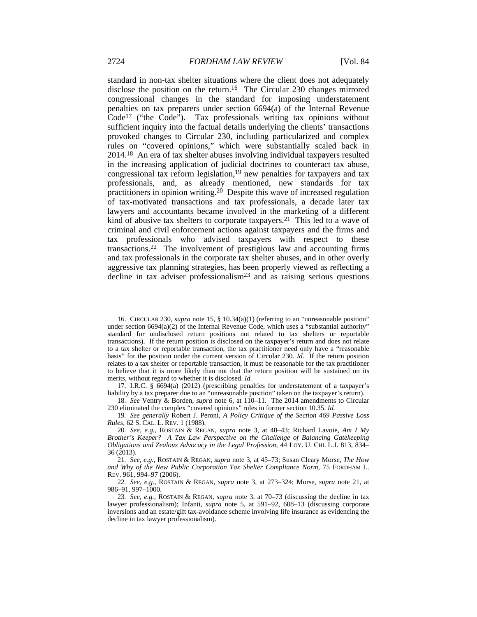standard in non-tax shelter situations where the client does not adequately disclose the position on the return.16 The Circular 230 changes mirrored congressional changes in the standard for imposing understatement penalties on tax preparers under section 6694(a) of the Internal Revenue Code17 ("the Code"). Tax professionals writing tax opinions without sufficient inquiry into the factual details underlying the clients' transactions provoked changes to Circular 230, including particularized and complex rules on "covered opinions," which were substantially scaled back in 2014.18 An era of tax shelter abuses involving individual taxpayers resulted in the increasing application of judicial doctrines to counteract tax abuse, congressional tax reform legislation, $19$  new penalties for taxpayers and tax professionals, and, as already mentioned, new standards for tax practitioners in opinion writing.<sup>20</sup> Despite this wave of increased regulation of tax-motivated transactions and tax professionals, a decade later tax lawyers and accountants became involved in the marketing of a different kind of abusive tax shelters to corporate taxpayers.<sup>21</sup> This led to a wave of criminal and civil enforcement actions against taxpayers and the firms and tax professionals who advised taxpayers with respect to these transactions.22 The involvement of prestigious law and accounting firms and tax professionals in the corporate tax shelter abuses, and in other overly aggressive tax planning strategies, has been properly viewed as reflecting a decline in tax adviser professionalism<sup>23</sup> and as raising serious questions

 <sup>16.</sup> CIRCULAR 230, *supra* note 15, § 10.34(a)(1) (referring to an "unreasonable position" under section  $6694(a)(2)$  of the Internal Revenue Code, which uses a "substantial authority" standard for undisclosed return positions not related to tax shelters or reportable transactions). If the return position is disclosed on the taxpayer's return and does not relate to a tax shelter or reportable transaction, the tax practitioner need only have a "reasonable basis" for the position under the current version of Circular 230. *Id.* If the return position relates to a tax shelter or reportable transaction, it must be reasonable for the tax practitioner to believe that it is more likely than not that the return position will be sustained on its merits, without regard to whether it is disclosed. *Id.*

 <sup>17.</sup> I.R.C. § 6694(a) (2012) (prescribing penalties for understatement of a taxpayer's liability by a tax preparer due to an "unreasonable position" taken on the taxpayer's return).

<sup>18</sup>*. See* Ventry & Borden, *supra* note 6, at 110–11. The 2014 amendments to Circular 230 eliminated the complex "covered opinions" rules in former section 10.35. *Id.*

<sup>19</sup>*. See generally* Robert J. Peroni, *A Policy Critique of the Section 469 Passive Loss Rules*, 62 S. CAL. L. REV. 1 (1988).

<sup>20</sup>*. See, e.g.*, ROSTAIN & REGAN, *supra* note 3, at 40–43; Richard Lavoie, *Am I My Brother's Keeper? A Tax Law Perspective on the Challenge of Balancing Gatekeeping Obligations and Zealous Advocacy in the Legal Profession*, 44 LOY. U. CHI. L.J. 813, 834– 36 (2013).

<sup>21</sup>*. See, e.g.*, ROSTAIN & REGAN, *supra* note 3, at 45–73; Susan Cleary Morse, *The How and Why of the New Public Corporation Tax Shelter Compliance Norm*, 75 FORDHAM L. REV. 961, 994–97 (2006).

<sup>22</sup>*. See, e.g.*, ROSTAIN & REGAN, *supra* note 3, at 273–324; Morse, *supra* note 21, at 986–91, 997–1000.

<sup>23</sup>*. See, e.g.*, ROSTAIN & REGAN, *supra* note 3, at 70–73 (discussing the decline in tax lawyer professionalism); Infanti, *supra* note 5, at 591–92, 608–13 (discussing corporate inversions and an estate/gift tax-avoidance scheme involving life insurance as evidencing the decline in tax lawyer professionalism).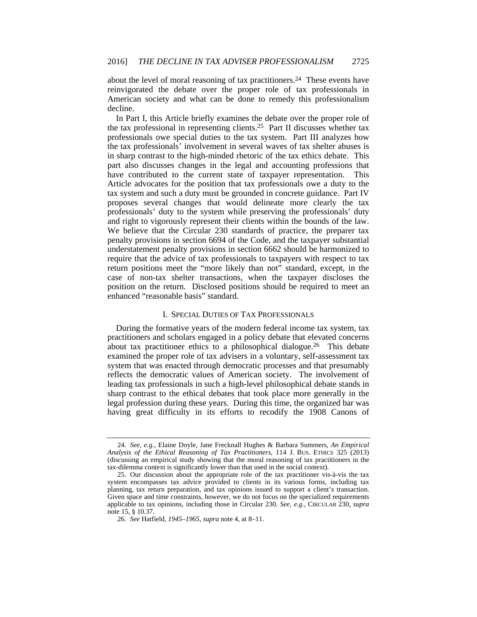about the level of moral reasoning of tax practitioners.24 These events have reinvigorated the debate over the proper role of tax professionals in American society and what can be done to remedy this professionalism decline.

In Part I, this Article briefly examines the debate over the proper role of the tax professional in representing clients.25 Part II discusses whether tax professionals owe special duties to the tax system. Part III analyzes how the tax professionals' involvement in several waves of tax shelter abuses is in sharp contrast to the high-minded rhetoric of the tax ethics debate. This part also discusses changes in the legal and accounting professions that have contributed to the current state of taxpayer representation. This Article advocates for the position that tax professionals owe a duty to the tax system and such a duty must be grounded in concrete guidance. Part IV proposes several changes that would delineate more clearly the tax professionals' duty to the system while preserving the professionals' duty and right to vigorously represent their clients within the bounds of the law. We believe that the Circular 230 standards of practice, the preparer tax penalty provisions in section 6694 of the Code, and the taxpayer substantial understatement penalty provisions in section 6662 should be harmonized to require that the advice of tax professionals to taxpayers with respect to tax return positions meet the "more likely than not" standard, except, in the case of non-tax shelter transactions, when the taxpayer discloses the position on the return. Disclosed positions should be required to meet an enhanced "reasonable basis" standard.

#### I. SPECIAL DUTIES OF TAX PROFESSIONALS

During the formative years of the modern federal income tax system, tax practitioners and scholars engaged in a policy debate that elevated concerns about tax practitioner ethics to a philosophical dialogue.26 This debate examined the proper role of tax advisers in a voluntary, self-assessment tax system that was enacted through democratic processes and that presumably reflects the democratic values of American society. The involvement of leading tax professionals in such a high-level philosophical debate stands in sharp contrast to the ethical debates that took place more generally in the legal profession during these years. During this time, the organized bar was having great difficulty in its efforts to recodify the 1908 Canons of

<sup>24</sup>*. See, e.g.*, Elaine Doyle, Jane Frecknall Hughes & Barbara Summers, *An Empirical Analysis of the Ethical Reasoning of Tax Practitioners*, 114 J. BUS. ETHICS 325 (2013) (discussing an empirical study showing that the moral reasoning of tax practitioners in the tax-dilemma context is significantly lower than that used in the social context).

 <sup>25.</sup> Our discussion about the appropriate role of the tax practitioner vis-à-vis the tax system encompasses tax advice provided to clients in its various forms, including tax planning, tax return preparation, and tax opinions issued to support a client's transaction. Given space and time constraints, however, we do not focus on the specialized requirements applicable to tax opinions, including those in Circular 230. *See, e.g.*, CIRCULAR 230, *supra* note 15, § 10.37.

<sup>26</sup>*. See* Hatfield, *1945–1965*, *supra* note 4, at 8–11.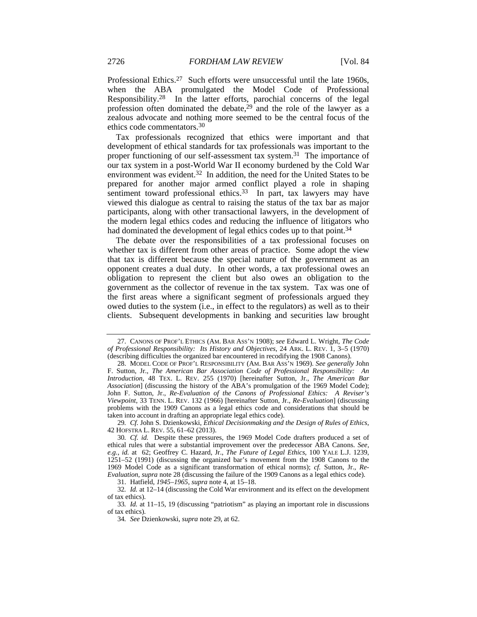Professional Ethics.27 Such efforts were unsuccessful until the late 1960s, when the ABA promulgated the Model Code of Professional Responsibility.28 In the latter efforts, parochial concerns of the legal profession often dominated the debate,29 and the role of the lawyer as a zealous advocate and nothing more seemed to be the central focus of the ethics code commentators.30

Tax professionals recognized that ethics were important and that development of ethical standards for tax professionals was important to the proper functioning of our self-assessment tax system.31 The importance of our tax system in a post-World War II economy burdened by the Cold War environment was evident.<sup>32</sup> In addition, the need for the United States to be prepared for another major armed conflict played a role in shaping sentiment toward professional ethics.<sup>33</sup> In part, tax lawyers may have viewed this dialogue as central to raising the status of the tax bar as major participants, along with other transactional lawyers, in the development of the modern legal ethics codes and reducing the influence of litigators who had dominated the development of legal ethics codes up to that point.<sup>34</sup>

The debate over the responsibilities of a tax professional focuses on whether tax is different from other areas of practice. Some adopt the view that tax is different because the special nature of the government as an opponent creates a dual duty. In other words, a tax professional owes an obligation to represent the client but also owes an obligation to the government as the collector of revenue in the tax system. Tax was one of the first areas where a significant segment of professionals argued they owed duties to the system (i.e., in effect to the regulators) as well as to their clients. Subsequent developments in banking and securities law brought

 <sup>27.</sup> CANONS OF PROF'L ETHICS (AM. BAR ASS'N 1908); *see* Edward L. Wright, *The Code of Professional Responsibility: Its History and Objectives*, 24 ARK. L. REV. 1, 3–5 (1970) (describing difficulties the organized bar encountered in recodifying the 1908 Canons).

 <sup>28.</sup> MODEL CODE OF PROF'L RESPONSIBILITY (AM. BAR ASS'N 1969). *See generally* John F. Sutton, Jr., *The American Bar Association Code of Professional Responsibility: An Introduction*, 48 TEX. L. REV. 255 (1970) [hereinafter Sutton, Jr., *The American Bar Association*] (discussing the history of the ABA's promulgation of the 1969 Model Code); John F. Sutton, Jr., *Re-Evaluation of the Canons of Professional Ethics: A Reviser's Viewpoint*, 33 TENN. L. REV. 132 (1966) [hereinafter Sutton, Jr., *Re-Evaluation*] (discussing problems with the 1909 Canons as a legal ethics code and considerations that should be taken into account in drafting an appropriate legal ethics code).

<sup>29</sup>*. Cf.* John S. Dzienkowski, *Ethical Decisionmaking and the Design of Rules of Ethics*, 42 HOFSTRA L. REV. 55, 61–62 (2013).

<sup>30</sup>*. Cf. id.* Despite these pressures, the 1969 Model Code drafters produced a set of ethical rules that were a substantial improvement over the predecessor ABA Canons. *See, e.g.*, *id.* at 62; Geoffrey C. Hazard, Jr., *The Future of Legal Ethics*, 100 YALE L.J. 1239, 1251–52 (1991) (discussing the organized bar's movement from the 1908 Canons to the 1969 Model Code as a significant transformation of ethical norms); *cf.* Sutton, Jr., *Re-Evaluation*, *supra* note 28 (discussing the failure of the 1909 Canons as a legal ethics code).

 <sup>31.</sup> Hatfield, *1945–1965*, *supra* note 4, at 15–18.

<sup>32</sup>*. Id.* at 12–14 (discussing the Cold War environment and its effect on the development of tax ethics).

<sup>33</sup>*. Id.* at 11–15, 19 (discussing "patriotism" as playing an important role in discussions of tax ethics).

<sup>34</sup>*. See* Dzienkowski, *supra* note 29, at 62.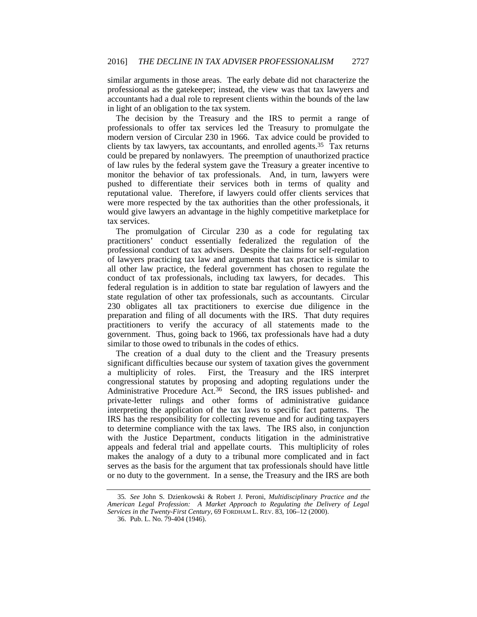similar arguments in those areas. The early debate did not characterize the professional as the gatekeeper; instead, the view was that tax lawyers and accountants had a dual role to represent clients within the bounds of the law in light of an obligation to the tax system.

The decision by the Treasury and the IRS to permit a range of professionals to offer tax services led the Treasury to promulgate the modern version of Circular 230 in 1966. Tax advice could be provided to clients by tax lawyers, tax accountants, and enrolled agents.<sup>35</sup>  $\bar{T}$ ax returns could be prepared by nonlawyers. The preemption of unauthorized practice of law rules by the federal system gave the Treasury a greater incentive to monitor the behavior of tax professionals. And, in turn, lawyers were pushed to differentiate their services both in terms of quality and reputational value. Therefore, if lawyers could offer clients services that were more respected by the tax authorities than the other professionals, it would give lawyers an advantage in the highly competitive marketplace for tax services.

The promulgation of Circular 230 as a code for regulating tax practitioners' conduct essentially federalized the regulation of the professional conduct of tax advisers. Despite the claims for self-regulation of lawyers practicing tax law and arguments that tax practice is similar to all other law practice, the federal government has chosen to regulate the conduct of tax professionals, including tax lawyers, for decades. This federal regulation is in addition to state bar regulation of lawyers and the state regulation of other tax professionals, such as accountants. Circular 230 obligates all tax practitioners to exercise due diligence in the preparation and filing of all documents with the IRS. That duty requires practitioners to verify the accuracy of all statements made to the government. Thus, going back to 1966, tax professionals have had a duty similar to those owed to tribunals in the codes of ethics.

The creation of a dual duty to the client and the Treasury presents significant difficulties because our system of taxation gives the government a multiplicity of roles. First, the Treasury and the IRS interpret congressional statutes by proposing and adopting regulations under the Administrative Procedure Act.36 Second, the IRS issues published- and private-letter rulings and other forms of administrative guidance interpreting the application of the tax laws to specific fact patterns. The IRS has the responsibility for collecting revenue and for auditing taxpayers to determine compliance with the tax laws. The IRS also, in conjunction with the Justice Department, conducts litigation in the administrative appeals and federal trial and appellate courts. This multiplicity of roles makes the analogy of a duty to a tribunal more complicated and in fact serves as the basis for the argument that tax professionals should have little or no duty to the government. In a sense, the Treasury and the IRS are both

<sup>35</sup>*. See* John S. Dzienkowski & Robert J. Peroni, *Multidisciplinary Practice and the American Legal Profession: A Market Approach to Regulating the Delivery of Legal Services in the Twenty-First Century*, 69 FORDHAM L. REV. 83, 106–12 (2000).

 <sup>36.</sup> Pub. L. No. 79-404 (1946).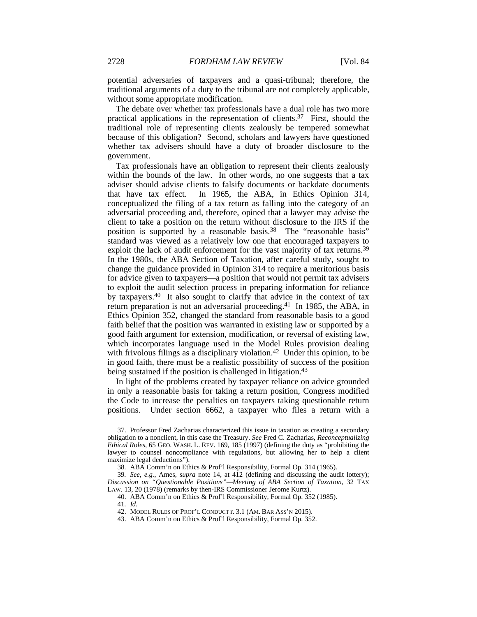potential adversaries of taxpayers and a quasi-tribunal; therefore, the traditional arguments of a duty to the tribunal are not completely applicable, without some appropriate modification.

The debate over whether tax professionals have a dual role has two more practical applications in the representation of clients.37 First, should the traditional role of representing clients zealously be tempered somewhat because of this obligation? Second, scholars and lawyers have questioned whether tax advisers should have a duty of broader disclosure to the government.

Tax professionals have an obligation to represent their clients zealously within the bounds of the law. In other words, no one suggests that a tax adviser should advise clients to falsify documents or backdate documents that have tax effect. In 1965, the ABA, in Ethics Opinion 314, conceptualized the filing of a tax return as falling into the category of an adversarial proceeding and, therefore, opined that a lawyer may advise the client to take a position on the return without disclosure to the IRS if the position is supported by a reasonable basis.<sup>38</sup> The "reasonable basis" standard was viewed as a relatively low one that encouraged taxpayers to exploit the lack of audit enforcement for the vast majority of tax returns.<sup>39</sup> In the 1980s, the ABA Section of Taxation, after careful study, sought to change the guidance provided in Opinion 314 to require a meritorious basis for advice given to taxpayers—a position that would not permit tax advisers to exploit the audit selection process in preparing information for reliance by taxpayers.40 It also sought to clarify that advice in the context of tax return preparation is not an adversarial proceeding.41 In 1985, the ABA, in Ethics Opinion 352, changed the standard from reasonable basis to a good faith belief that the position was warranted in existing law or supported by a good faith argument for extension, modification, or reversal of existing law, which incorporates language used in the Model Rules provision dealing with frivolous filings as a disciplinary violation.<sup>42</sup> Under this opinion, to be in good faith, there must be a realistic possibility of success of the position being sustained if the position is challenged in litigation.<sup>43</sup>

In light of the problems created by taxpayer reliance on advice grounded in only a reasonable basis for taking a return position, Congress modified the Code to increase the penalties on taxpayers taking questionable return positions. Under section 6662, a taxpayer who files a return with a

 <sup>37.</sup> Professor Fred Zacharias characterized this issue in taxation as creating a secondary obligation to a nonclient, in this case the Treasury. *See* Fred C. Zacharias, *Reconceptualizing Ethical Roles*, 65 GEO. WASH. L. REV. 169, 185 (1997) (defining the duty as "prohibiting the lawyer to counsel noncompliance with regulations, but allowing her to help a client maximize legal deductions").

<sup>38</sup>*.* ABA Comm'n on Ethics & Prof'l Responsibility, Formal Op. 314 (1965).

<sup>39</sup>*. See, e.g.*, Ames, *supra* note 14, at 412 (defining and discussing the audit lottery); *Discussion on "Questionable Positions"—Meeting of ABA Section of Taxation*, 32 TAX LAW. 13, 20 (1978) (remarks by then-IRS Commissioner Jerome Kurtz).

 <sup>40.</sup> ABA Comm'n on Ethics & Prof'l Responsibility, Formal Op. 352 (1985).

<sup>41</sup>*. Id.*

 <sup>42.</sup> MODEL RULES OF PROF'L CONDUCT r. 3.1 (AM. BAR ASS'N 2015).

 <sup>43.</sup> ABA Comm'n on Ethics & Prof'l Responsibility, Formal Op. 352.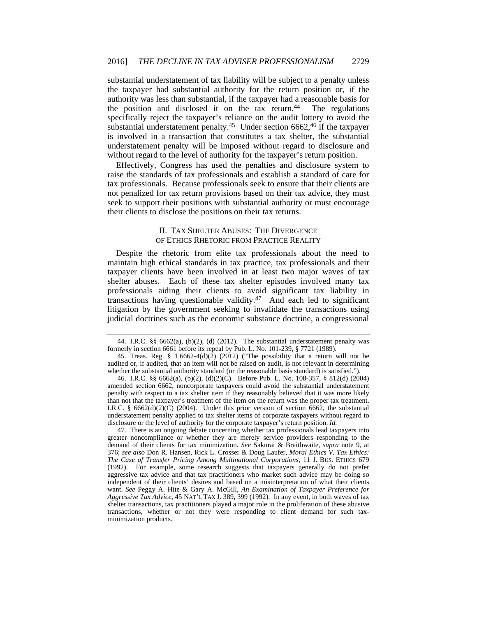substantial understatement of tax liability will be subject to a penalty unless the taxpayer had substantial authority for the return position or, if the authority was less than substantial, if the taxpayer had a reasonable basis for the position and disclosed it on the tax return. $44$  The regulations specifically reject the taxpayer's reliance on the audit lottery to avoid the substantial understatement penalty.45 Under section 6662,46 if the taxpayer is involved in a transaction that constitutes a tax shelter, the substantial understatement penalty will be imposed without regard to disclosure and without regard to the level of authority for the taxpayer's return position.

Effectively, Congress has used the penalties and disclosure system to raise the standards of tax professionals and establish a standard of care for tax professionals. Because professionals seek to ensure that their clients are not penalized for tax return provisions based on their tax advice, they must seek to support their positions with substantial authority or must encourage their clients to disclose the positions on their tax returns.

#### II. TAX SHELTER ABUSES: THE DIVERGENCE OF ETHICS RHETORIC FROM PRACTICE REALITY

Despite the rhetoric from elite tax professionals about the need to maintain high ethical standards in tax practice, tax professionals and their taxpayer clients have been involved in at least two major waves of tax shelter abuses. Each of these tax shelter episodes involved many tax professionals aiding their clients to avoid significant tax liability in transactions having questionable validity.47 And each led to significant litigation by the government seeking to invalidate the transactions using judicial doctrines such as the economic substance doctrine, a congressional

<sup>44.</sup> I.R.C.  $\S$ § 6662(a), (b)(2), (d) (2012). The substantial understatement penalty was formerly in section 6661 before its repeal by Pub. L. No. 101-239, § 7721 (1989).

<sup>45.</sup> Treas. Reg. §  $1.6662-4(d)(2)$  (2012) ("The possibility that a return will not be audited or, if audited, that an item will not be raised on audit, is not relevant in determining whether the substantial authority standard (or the reasonable basis standard) is satisfied.").

 <sup>46.</sup> I.R.C. §§ 6662(a), (b)(2), (d)(2)(C). Before Pub. L. No. 108-357, § 812(d) (2004) amended section 6662, noncorporate taxpayers could avoid the substantial understatement penalty with respect to a tax shelter item if they reasonably believed that it was more likely than not that the taxpayer's treatment of the item on the return was the proper tax treatment. I.R.C. §  $6662(d)(2)(C)$  (2004). Under this prior version of section 6662, the substantial understatement penalty applied to tax shelter items of corporate taxpayers without regard to disclosure or the level of authority for the corporate taxpayer's return position. *Id.*

 <sup>47.</sup> There is an ongoing debate concerning whether tax professionals lead taxpayers into greater noncompliance or whether they are merely service providers responding to the demand of their clients for tax minimization. *See* Sakurai & Braithwaite, *supra* note 9, at 376; *see also* Don R. Hansen, Rick L. Crosser & Doug Laufer, *Moral Ethics V. Tax Ethics: The Case of Transfer Pricing Among Multinational Corporations*, 11 J. BUS. ETHICS 679 (1992). For example, some research suggests that taxpayers generally do not prefer aggressive tax advice and that tax practitioners who market such advice may be doing so independent of their clients' desires and based on a misinterpretation of what their clients want. *See* Peggy A. Hite & Gary A. McGill, *An Examination of Taxpayer Preference for Aggressive Tax Advice*, 45 NAT'L TAX J. 389, 399 (1992). In any event, in both waves of tax shelter transactions, tax practitioners played a major role in the proliferation of these abusive transactions, whether or not they were responding to client demand for such taxminimization products.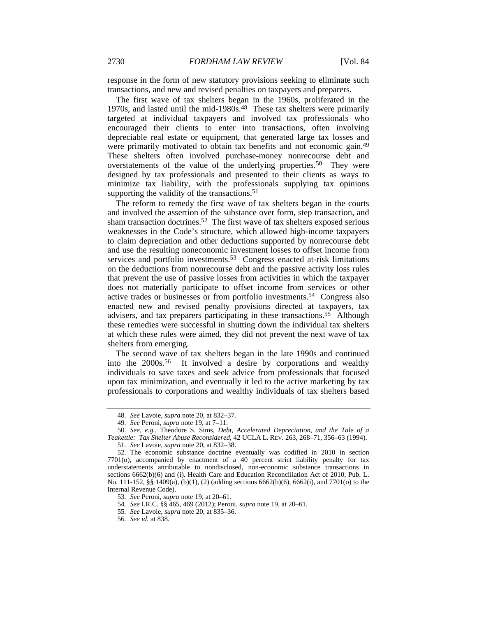response in the form of new statutory provisions seeking to eliminate such transactions, and new and revised penalties on taxpayers and preparers.

The first wave of tax shelters began in the 1960s, proliferated in the 1970s, and lasted until the mid-1980s.<sup>48</sup> These tax shelters were primarily targeted at individual taxpayers and involved tax professionals who encouraged their clients to enter into transactions, often involving depreciable real estate or equipment, that generated large tax losses and were primarily motivated to obtain tax benefits and not economic gain.<sup>49</sup> These shelters often involved purchase-money nonrecourse debt and overstatements of the value of the underlying properties.50 They were designed by tax professionals and presented to their clients as ways to minimize tax liability, with the professionals supplying tax opinions supporting the validity of the transactions.<sup>51</sup>

The reform to remedy the first wave of tax shelters began in the courts and involved the assertion of the substance over form, step transaction, and sham transaction doctrines.52 The first wave of tax shelters exposed serious weaknesses in the Code's structure, which allowed high-income taxpayers to claim depreciation and other deductions supported by nonrecourse debt and use the resulting noneconomic investment losses to offset income from services and portfolio investments.<sup>53</sup> Congress enacted at-risk limitations on the deductions from nonrecourse debt and the passive activity loss rules that prevent the use of passive losses from activities in which the taxpayer does not materially participate to offset income from services or other active trades or businesses or from portfolio investments.54 Congress also enacted new and revised penalty provisions directed at taxpayers, tax advisers, and tax preparers participating in these transactions.55 Although these remedies were successful in shutting down the individual tax shelters at which these rules were aimed, they did not prevent the next wave of tax shelters from emerging.

The second wave of tax shelters began in the late 1990s and continued into the 2000s.56 It involved a desire by corporations and wealthy individuals to save taxes and seek advice from professionals that focused upon tax minimization, and eventually it led to the active marketing by tax professionals to corporations and wealthy individuals of tax shelters based

<sup>48</sup>*. See* Lavoie, *supra* note 20, at 832–37.

<sup>49</sup>*. See* Peroni, *supra* note 19, at 7–11.

<sup>50</sup>*. See, e.g.*, Theodore S. Sims, *Debt, Accelerated Depreciation, and the Tale of a Teakettle: Tax Shelter Abuse Reconsidered*, 42 UCLA L. REV. 263, 268–71, 356–63 (1994).

<sup>51</sup>*. See* Lavoie, *supra* note 20, at 832–38.

 <sup>52.</sup> The economic substance doctrine eventually was codified in 2010 in section 7701(o), accompanied by enactment of a 40 percent strict liability penalty for tax understatements attributable to nondisclosed, non-economic substance transactions in sections 6662(b)(6) and (i). Health Care and Education Reconciliation Act of 2010, Pub. L. No. 111-152, §§ 1409(a), (b)(1), (2) (adding sections 6662(b)(6), 6662(i), and 7701(o) to the Internal Revenue Code).

<sup>53</sup>*. See* Peroni, *supra* note 19, at 20–61.

<sup>54</sup>*. See* I.R.C. §§ 465, 469 (2012); Peroni, *supra* note 19, at 20–61.

<sup>55</sup>*. See* Lavoie, *supra* note 20, at 835–36.

<sup>56</sup>*. See id.* at 838.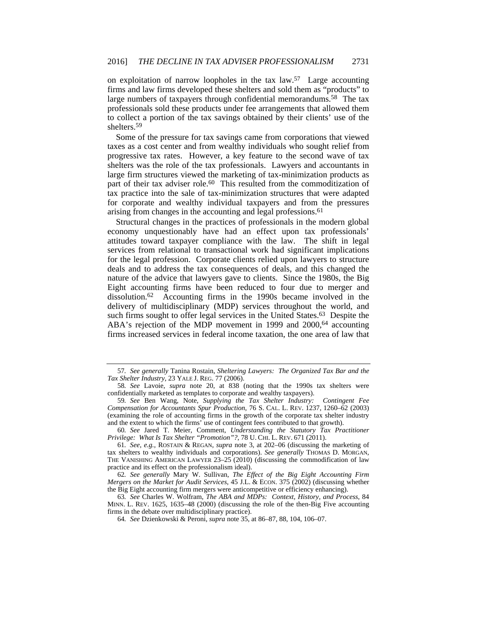on exploitation of narrow loopholes in the tax law.57 Large accounting firms and law firms developed these shelters and sold them as "products" to large numbers of taxpayers through confidential memorandums.<sup>58</sup> The tax professionals sold these products under fee arrangements that allowed them to collect a portion of the tax savings obtained by their clients' use of the shelters.59

Some of the pressure for tax savings came from corporations that viewed taxes as a cost center and from wealthy individuals who sought relief from progressive tax rates. However, a key feature to the second wave of tax shelters was the role of the tax professionals. Lawyers and accountants in large firm structures viewed the marketing of tax-minimization products as part of their tax adviser role.<sup>60</sup> This resulted from the commoditization of tax practice into the sale of tax-minimization structures that were adapted for corporate and wealthy individual taxpayers and from the pressures arising from changes in the accounting and legal professions.<sup>61</sup>

Structural changes in the practices of professionals in the modern global economy unquestionably have had an effect upon tax professionals' attitudes toward taxpayer compliance with the law. The shift in legal services from relational to transactional work had significant implications for the legal profession. Corporate clients relied upon lawyers to structure deals and to address the tax consequences of deals, and this changed the nature of the advice that lawyers gave to clients. Since the 1980s, the Big Eight accounting firms have been reduced to four due to merger and dissolution.62 Accounting firms in the 1990s became involved in the delivery of multidisciplinary (MDP) services throughout the world, and such firms sought to offer legal services in the United States.<sup>63</sup> Despite the ABA's rejection of the MDP movement in 1999 and 2000,<sup>64</sup> accounting firms increased services in federal income taxation, the one area of law that

<sup>57</sup>*. See generally* Tanina Rostain, *Sheltering Lawyers: The Organized Tax Bar and the Tax Shelter Industry*, 23 YALE J. REG. 77 (2006).

<sup>58</sup>*. See* Lavoie, *supra* note 20, at 838 (noting that the 1990s tax shelters were confidentially marketed as templates to corporate and wealthy taxpayers).

<sup>59</sup>*. See* Ben Wang, Note, *Supplying the Tax Shelter Industry: Contingent Fee Compensation for Accountants Spur Production*, 76 S. CAL. L. REV. 1237, 1260–62 (2003) (examining the role of accounting firms in the growth of the corporate tax shelter industry and the extent to which the firms' use of contingent fees contributed to that growth).

<sup>60</sup>*. See* Jared T. Meier, Comment, *Understanding the Statutory Tax Practitioner Privilege: What Is Tax Shelter "Promotion"?*, 78 U. CHI. L. REV. 671 (2011).

<sup>61</sup>*. See, e.g.*, ROSTAIN & REGAN, *supra* note 3, at 202–06 (discussing the marketing of tax shelters to wealthy individuals and corporations). *See generally* THOMAS D. MORGAN, THE VANISHING AMERICAN LAWYER 23–25 (2010) (discussing the commodification of law practice and its effect on the professionalism ideal).

<sup>62</sup>*. See generally* Mary W. Sullivan, *The Effect of the Big Eight Accounting Firm Mergers on the Market for Audit Services*, 45 J.L. & ECON. 375 (2002) (discussing whether the Big Eight accounting firm mergers were anticompetitive or efficiency enhancing).

<sup>63</sup>*. See* Charles W. Wolfram, *The ABA and MDPs: Context, History, and Process*, 84 MINN. L. REV. 1625, 1635–48 (2000) (discussing the role of the then-Big Five accounting firms in the debate over multidisciplinary practice).

<sup>64</sup>*. See* Dzienkowski & Peroni, *supra* note 35, at 86–87, 88, 104, 106–07.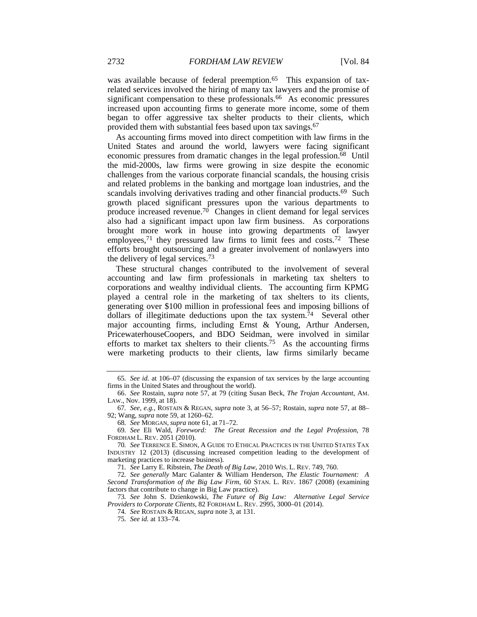was available because of federal preemption.<sup>65</sup> This expansion of taxrelated services involved the hiring of many tax lawyers and the promise of significant compensation to these professionals.<sup>66</sup> As economic pressures increased upon accounting firms to generate more income, some of them began to offer aggressive tax shelter products to their clients, which provided them with substantial fees based upon tax savings.<sup>67</sup>

As accounting firms moved into direct competition with law firms in the United States and around the world, lawyers were facing significant economic pressures from dramatic changes in the legal profession.68 Until the mid-2000s, law firms were growing in size despite the economic challenges from the various corporate financial scandals, the housing crisis and related problems in the banking and mortgage loan industries, and the scandals involving derivatives trading and other financial products.<sup>69</sup> Such growth placed significant pressures upon the various departments to produce increased revenue.<sup>70</sup> Changes in client demand for legal services also had a significant impact upon law firm business. As corporations brought more work in house into growing departments of lawyer employees,<sup>71</sup> they pressured law firms to limit fees and costs.<sup>72</sup> These efforts brought outsourcing and a greater involvement of nonlawyers into the delivery of legal services.73

These structural changes contributed to the involvement of several accounting and law firm professionals in marketing tax shelters to corporations and wealthy individual clients. The accounting firm KPMG played a central role in the marketing of tax shelters to its clients, generating over \$100 million in professional fees and imposing billions of dollars of illegitimate deductions upon the tax system.<sup>74</sup> Several other major accounting firms, including Ernst & Young, Arthur Andersen, PricewaterhouseCoopers, and BDO Seidman, were involved in similar efforts to market tax shelters to their clients.<sup>75</sup> As the accounting firms were marketing products to their clients, law firms similarly became

71*. See* Larry E. Ribstein, *The Death of Big Law*, 2010 WIS. L. REV. 749, 760.

73*. See* John S. Dzienkowski, *The Future of Big Law: Alternative Legal Service Providers to Corporate Clients*, 82 FORDHAM L. REV. 2995, 3000–01 (2014).

74*. See* ROSTAIN & REGAN, *supra* note 3, at 131.

75*. See id.* at 133–74.

<sup>65</sup>*. See id.* at 106–07 (discussing the expansion of tax services by the large accounting firms in the United States and throughout the world).

 <sup>66.</sup> *See* Rostain, *supra* note 57, at 79 (citing Susan Beck, *The Trojan Accountant*, AM. LAW., Nov. 1999, at 18).

<sup>67</sup>*. See, e.g.*, ROSTAIN & REGAN, *supra* note 3, at 56–57; Rostain, *supra* note 57, at 88– 92; Wang, *supra* note 59, at 1260–62.

<sup>68</sup>*. See* MORGAN, *supra* note 61, at 71–72.

<sup>69</sup>*. See* Eli Wald, *Foreword: The Great Recession and the Legal Profession*, 78 FORDHAM L. REV. 2051 (2010).

<sup>70</sup>*. See* TERRENCE E. SIMON, A GUIDE TO ETHICAL PRACTICES IN THE UNITED STATES TAX INDUSTRY 12 (2013) (discussing increased competition leading to the development of marketing practices to increase business).

<sup>72</sup>*. See generally* Marc Galanter & William Henderson, *The Elastic Tournament: A Second Transformation of the Big Law Firm*, 60 STAN. L. REV. 1867 (2008) (examining factors that contribute to change in Big Law practice).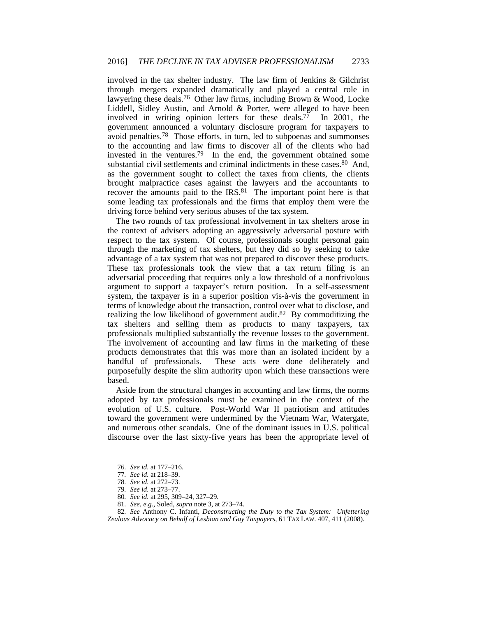involved in the tax shelter industry. The law firm of Jenkins & Gilchrist through mergers expanded dramatically and played a central role in lawyering these deals.76 Other law firms, including Brown & Wood, Locke Liddell, Sidley Austin, and Arnold & Porter, were alleged to have been involved in writing opinion letters for these deals.77 In 2001, the government announced a voluntary disclosure program for taxpayers to avoid penalties.78 Those efforts, in turn, led to subpoenas and summonses to the accounting and law firms to discover all of the clients who had invested in the ventures.79 In the end, the government obtained some substantial civil settlements and criminal indictments in these cases.<sup>80</sup> And, as the government sought to collect the taxes from clients, the clients brought malpractice cases against the lawyers and the accountants to recover the amounts paid to the IRS.<sup>81</sup> The important point here is that some leading tax professionals and the firms that employ them were the driving force behind very serious abuses of the tax system.

The two rounds of tax professional involvement in tax shelters arose in the context of advisers adopting an aggressively adversarial posture with respect to the tax system. Of course, professionals sought personal gain through the marketing of tax shelters, but they did so by seeking to take advantage of a tax system that was not prepared to discover these products. These tax professionals took the view that a tax return filing is an adversarial proceeding that requires only a low threshold of a nonfrivolous argument to support a taxpayer's return position. In a self-assessment system, the taxpayer is in a superior position vis-à-vis the government in terms of knowledge about the transaction, control over what to disclose, and realizing the low likelihood of government audit.82 By commoditizing the tax shelters and selling them as products to many taxpayers, tax professionals multiplied substantially the revenue losses to the government. The involvement of accounting and law firms in the marketing of these products demonstrates that this was more than an isolated incident by a handful of professionals. These acts were done deliberately and purposefully despite the slim authority upon which these transactions were based.

Aside from the structural changes in accounting and law firms, the norms adopted by tax professionals must be examined in the context of the evolution of U.S. culture. Post-World War II patriotism and attitudes toward the government were undermined by the Vietnam War, Watergate, and numerous other scandals. One of the dominant issues in U.S. political discourse over the last sixty-five years has been the appropriate level of

<sup>76</sup>*. See id.* at 177–216.

<sup>77</sup>*. See id.* at 218–39.

<sup>78</sup>*. See id.* at 272–73.

<sup>79</sup>*. See id.* at 273–77.

<sup>80</sup>*. See id.* at 295, 309–24, 327–29.

<sup>81</sup>*. See, e.g.*, Soled, *supra* note 3, at 273–74.

<sup>82</sup>*. See* Anthony C. Infanti, *Deconstructing the Duty to the Tax System: Unfettering Zealous Advocacy on Behalf of Lesbian and Gay Taxpayers*, 61 TAX LAW. 407, 411 (2008).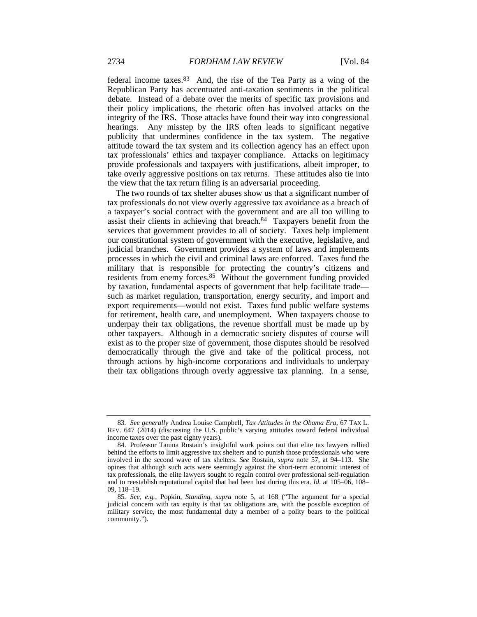federal income taxes.83 And, the rise of the Tea Party as a wing of the Republican Party has accentuated anti-taxation sentiments in the political debate. Instead of a debate over the merits of specific tax provisions and their policy implications, the rhetoric often has involved attacks on the integrity of the IRS. Those attacks have found their way into congressional hearings. Any misstep by the IRS often leads to significant negative publicity that undermines confidence in the tax system. The negative attitude toward the tax system and its collection agency has an effect upon tax professionals' ethics and taxpayer compliance. Attacks on legitimacy provide professionals and taxpayers with justifications, albeit improper, to take overly aggressive positions on tax returns. These attitudes also tie into the view that the tax return filing is an adversarial proceeding.

The two rounds of tax shelter abuses show us that a significant number of tax professionals do not view overly aggressive tax avoidance as a breach of a taxpayer's social contract with the government and are all too willing to assist their clients in achieving that breach.84 Taxpayers benefit from the services that government provides to all of society. Taxes help implement our constitutional system of government with the executive, legislative, and judicial branches. Government provides a system of laws and implements processes in which the civil and criminal laws are enforced. Taxes fund the military that is responsible for protecting the country's citizens and residents from enemy forces.85 Without the government funding provided by taxation, fundamental aspects of government that help facilitate trade such as market regulation, transportation, energy security, and import and export requirements—would not exist. Taxes fund public welfare systems for retirement, health care, and unemployment. When taxpayers choose to underpay their tax obligations, the revenue shortfall must be made up by other taxpayers. Although in a democratic society disputes of course will exist as to the proper size of government, those disputes should be resolved democratically through the give and take of the political process, not through actions by high-income corporations and individuals to underpay their tax obligations through overly aggressive tax planning. In a sense,

<sup>83</sup>*. See generally* Andrea Louise Campbell, *Tax Attitudes in the Obama Era*, 67 TAX L. REV. 647 (2014) (discussing the U.S. public's varying attitudes toward federal individual income taxes over the past eighty years).

 <sup>84.</sup> Professor Tanina Rostain's insightful work points out that elite tax lawyers rallied behind the efforts to limit aggressive tax shelters and to punish those professionals who were involved in the second wave of tax shelters. *See* Rostain, *supra* note 57, at 94–113. She opines that although such acts were seemingly against the short-term economic interest of tax professionals, the elite lawyers sought to regain control over professional self-regulation and to reestablish reputational capital that had been lost during this era. *Id.* at 105–06, 108– 09, 118–19.

<sup>85</sup>*. See, e.g.*, Popkin, *Standing*, *supra* note 5, at 168 ("The argument for a special judicial concern with tax equity is that tax obligations are, with the possible exception of military service, the most fundamental duty a member of a polity bears to the political community.").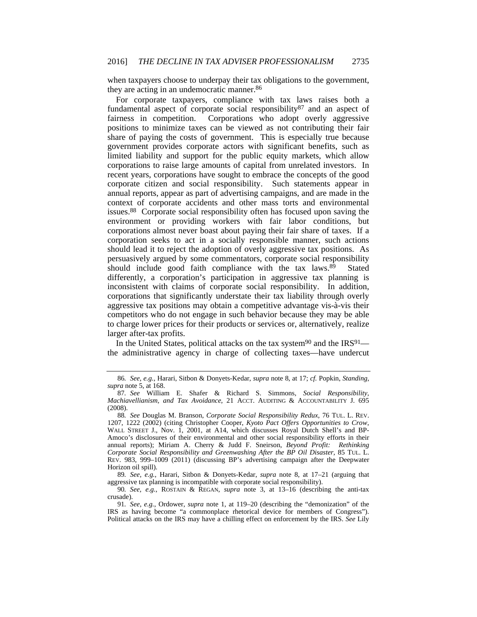when taxpayers choose to underpay their tax obligations to the government, they are acting in an undemocratic manner.<sup>86</sup>

For corporate taxpayers, compliance with tax laws raises both a fundamental aspect of corporate social responsibility<sup>87</sup> and an aspect of fairness in competition. Corporations who adopt overly aggressive positions to minimize taxes can be viewed as not contributing their fair share of paying the costs of government. This is especially true because government provides corporate actors with significant benefits, such as limited liability and support for the public equity markets, which allow corporations to raise large amounts of capital from unrelated investors. In recent years, corporations have sought to embrace the concepts of the good corporate citizen and social responsibility. Such statements appear in annual reports, appear as part of advertising campaigns, and are made in the context of corporate accidents and other mass torts and environmental issues.88 Corporate social responsibility often has focused upon saving the environment or providing workers with fair labor conditions, but corporations almost never boast about paying their fair share of taxes. If a corporation seeks to act in a socially responsible manner, such actions should lead it to reject the adoption of overly aggressive tax positions. As persuasively argued by some commentators, corporate social responsibility should include good faith compliance with the tax laws.89 Stated differently, a corporation's participation in aggressive tax planning is inconsistent with claims of corporate social responsibility. In addition, corporations that significantly understate their tax liability through overly aggressive tax positions may obtain a competitive advantage vis-à-vis their competitors who do not engage in such behavior because they may be able to charge lower prices for their products or services or, alternatively, realize larger after-tax profits.

In the United States, political attacks on the tax system<sup>90</sup> and the IRS<sup>91</sup> the administrative agency in charge of collecting taxes—have undercut

<sup>86</sup>*. See, e.g.*, Harari, Sitbon & Donyets-Kedar, *supra* note 8, at 17; *cf.* Popkin, *Standing*, *supra* note 5, at 168.

<sup>87</sup>*. See* William E. Shafer & Richard S. Simmons, *Social Responsibility, Machiavellianism, and Tax Avoidance*, 21 ACCT. AUDITING & ACCOUNTABILITY J. 695 (2008).

<sup>88</sup>*. See* Douglas M. Branson, *Corporate Social Responsibility Redux*, 76 TUL. L. REV. 1207, 1222 (2002) (citing Christopher Cooper, *Kyoto Pact Offers Opportunities to Crow*, WALL STREET J., Nov. 1, 2001, at A14, which discusses Royal Dutch Shell's and BP-Amoco's disclosures of their environmental and other social responsibility efforts in their annual reports); Miriam A. Cherry & Judd F. Sneirson, *Beyond Profit: Rethinking Corporate Social Responsibility and Greenwashing After the BP Oil Disaster*, 85 TUL. L. REV. 983, 999–1009 (2011) (discussing BP's advertising campaign after the Deepwater Horizon oil spill).

<sup>89</sup>*. See, e.g.*, Harari, Sitbon & Donyets-Kedar, *supra* note 8, at 17–21 (arguing that aggressive tax planning is incompatible with corporate social responsibility).

<sup>90</sup>*. See, e.g.*, ROSTAIN & REGAN, *supra* note 3, at 13–16 (describing the anti-tax crusade).

<sup>91</sup>*. See, e.g.*, Ordower, *supra* note 1, at 119–20 (describing the "demonization" of the IRS as having become "a commonplace rhetorical device for members of Congress"). Political attacks on the IRS may have a chilling effect on enforcement by the IRS. *See* Lily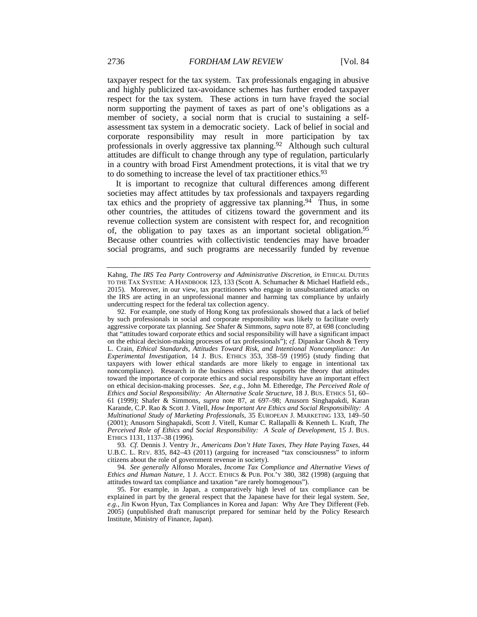taxpayer respect for the tax system. Tax professionals engaging in abusive and highly publicized tax-avoidance schemes has further eroded taxpayer respect for the tax system. These actions in turn have frayed the social norm supporting the payment of taxes as part of one's obligations as a member of society, a social norm that is crucial to sustaining a selfassessment tax system in a democratic society. Lack of belief in social and corporate responsibility may result in more participation by tax professionals in overly aggressive tax planning.<sup>92</sup> Although such cultural attitudes are difficult to change through any type of regulation, particularly in a country with broad First Amendment protections, it is vital that we try to do something to increase the level of tax practitioner ethics.93

It is important to recognize that cultural differences among different societies may affect attitudes by tax professionals and taxpayers regarding tax ethics and the propriety of aggressive tax planning.<sup>94</sup> Thus, in some other countries, the attitudes of citizens toward the government and its revenue collection system are consistent with respect for, and recognition of, the obligation to pay taxes as an important societal obligation.95 Because other countries with collectivistic tendencies may have broader social programs, and such programs are necessarily funded by revenue

93*. Cf.* Dennis J. Ventry Jr., *Americans Don't Hate Taxes, They Hate* Paying *Taxes*, 44 U.B.C. L. REV. 835, 842–43 (2011) (arguing for increased "tax consciousness" to inform citizens about the role of government revenue in society).

94*. See generally* Alfonso Morales, *Income Tax Compliance and Alternative Views of Ethics and Human Nature*, 1 J. ACCT. ETHICS & PUB. POL'Y 380, 382 (1998) (arguing that attitudes toward tax compliance and taxation "are rarely homogenous").

 95. For example, in Japan, a comparatively high level of tax compliance can be explained in part by the general respect that the Japanese have for their legal system. *See, e.g.*, Jin Kwon Hyun, Tax Compliances in Korea and Japan: Why Are They Different (Feb. 2005) (unpublished draft manuscript prepared for seminar held by the Policy Research Institute, Ministry of Finance, Japan).

Kahng, *The IRS Tea Party Controversy and Administrative Discretion*, *in* ETHICAL DUTIES TO THE TAX SYSTEM: A HANDBOOK 123, 133 (Scott A. Schumacher & Michael Hatfield eds., 2015). Moreover, in our view, tax practitioners who engage in unsubstantiated attacks on the IRS are acting in an unprofessional manner and harming tax compliance by unfairly undercutting respect for the federal tax collection agency.

 <sup>92.</sup> For example, one study of Hong Kong tax professionals showed that a lack of belief by such professionals in social and corporate responsibility was likely to facilitate overly aggressive corporate tax planning. *See* Shafer & Simmons, *supra* note 87, at 698 (concluding that "attitudes toward corporate ethics and social responsibility will have a significant impact on the ethical decision-making processes of tax professionals"); *cf.* Dipankar Ghosh & Terry L. Crain, *Ethical Standards, Attitudes Toward Risk, and Intentional Noncompliance: An Experimental Investigation*, 14 J. BUS. ETHICS 353, 358–59 (1995) (study finding that taxpayers with lower ethical standards are more likely to engage in intentional tax noncompliance). Research in the business ethics area supports the theory that attitudes toward the importance of corporate ethics and social responsibility have an important effect on ethical decision-making processes. *See, e.g.*, John M. Etheredge, *The Perceived Role of Ethics and Social Responsibility: An Alternative Scale Structure*, 18 J. BUS. ETHICS 51, 60– 61 (1999); Shafer & Simmons, *supra* note 87, at 697–98; Anusorn Singhapakdi, Karan Karande, C.P. Rao & Scott J. Vitell, *How Important Are Ethics and Social Responsibility: A Multinational Study of Marketing Professionals*, 35 EUROPEAN J. MARKETING 133, 149–50 (2001); Anusorn Singhapakdi, Scott J. Vitell, Kumar C. Rallapalli & Kenneth L. Kraft, *The Perceived Role of Ethics and Social Responsibility: A Scale of Development*, 15 J. BUS. ETHICS 1131, 1137–38 (1996).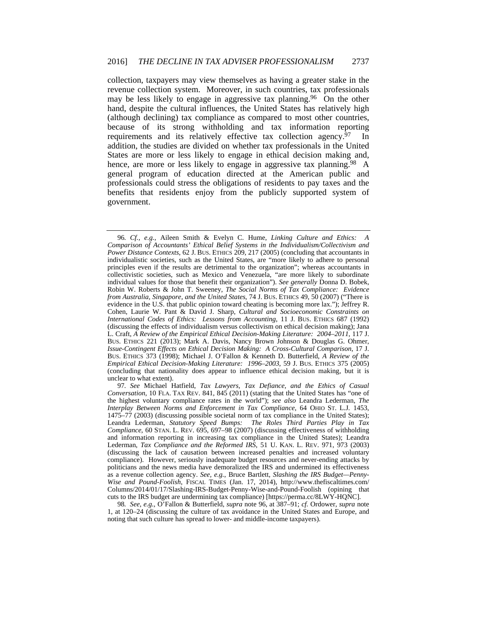collection, taxpayers may view themselves as having a greater stake in the revenue collection system. Moreover, in such countries, tax professionals may be less likely to engage in aggressive tax planning.<sup>96</sup> On the other hand, despite the cultural influences, the United States has relatively high (although declining) tax compliance as compared to most other countries, because of its strong withholding and tax information reporting requirements and its relatively effective tax collection agency.<sup>97</sup> In addition, the studies are divided on whether tax professionals in the United States are more or less likely to engage in ethical decision making and, hence, are more or less likely to engage in aggressive tax planning.<sup>98</sup> A general program of education directed at the American public and professionals could stress the obligations of residents to pay taxes and the benefits that residents enjoy from the publicly supported system of government.

<sup>96</sup>*. Cf., e.g.*, Aileen Smith & Evelyn C. Hume, *Linking Culture and Ethics: A Comparison of Accountants' Ethical Belief Systems in the Individualism/Collectivism and Power Distance Contexts*, 62 J. BUS. ETHICS 209, 217 (2005) (concluding that accountants in individualistic societies, such as the United States, are "more likely to adhere to personal principles even if the results are detrimental to the organization"; whereas accountants in collectivistic societies, such as Mexico and Venezuela, "are more likely to subordinate individual values for those that benefit their organization"). *See generally* Donna D. Bobek, Robin W. Roberts & John T. Sweeney, *The Social Norms of Tax Compliance: Evidence from Australia, Singapore, and the United States*, 74 J. BUS. ETHICS 49, 50 (2007) ("There is evidence in the U.S. that public opinion toward cheating is becoming more lax."); Jeffrey R. Cohen, Laurie W. Pant & David J. Sharp, *Cultural and Socioeconomic Constraints on International Codes of Ethics: Lessons from Accounting*, 11 J. BUS. ETHICS 687 (1992) (discussing the effects of individualism versus collectivism on ethical decision making); Jana L. Craft, *A Review of the Empirical Ethical Decision-Making Literature: 2004–2011*, 117 J. BUS. ETHICS 221 (2013); Mark A. Davis, Nancy Brown Johnson & Douglas G. Ohmer, *Issue-Contingent Effects on Ethical Decision Making: A Cross-Cultural Comparison*, 17 J. BUS. ETHICS 373 (1998); Michael J. O'Fallon & Kenneth D. Butterfield, *A Review of the Empirical Ethical Decision-Making Literature: 1996–2003*, 59 J. BUS. ETHICS 375 (2005) (concluding that nationality does appear to influence ethical decision making, but it is unclear to what extent).

<sup>97</sup>*. See* Michael Hatfield, *Tax Lawyers, Tax Defiance, and the Ethics of Casual Conversation*, 10 FLA. TAX REV. 841, 845 (2011) (stating that the United States has "one of the highest voluntary compliance rates in the world"); *see also* Leandra Lederman, *The Interplay Between Norms and Enforcement in Tax Compliance*, 64 OHIO ST. L.J. 1453, 1475–77 (2003) (discussing possible societal norm of tax compliance in the United States); Leandra Lederman, *Statutory Speed Bumps: The Roles Third Parties Play in Tax Compliance*, 60 STAN. L. REV. 695, 697–98 (2007) (discussing effectiveness of withholding and information reporting in increasing tax compliance in the United States); Leandra Lederman, *Tax Compliance and the Reformed IRS*, 51 U. KAN. L. REV. 971, 973 (2003) (discussing the lack of causation between increased penalties and increased voluntary compliance). However, seriously inadequate budget resources and never-ending attacks by politicians and the news media have demoralized the IRS and undermined its effectiveness as a revenue collection agency. *See, e.g.*, Bruce Bartlett, *Slashing the IRS Budget—Penny-Wise and Pound-Foolish*, FISCAL TIMES (Jan. 17, 2014), http://www.thefiscaltimes.com/ Columns/2014/01/17/Slashing-IRS-Budget-Penny-Wise-and-Pound-Foolish (opining that cuts to the IRS budget are undermining tax compliance) [https://perma.cc/8LWY-HQNC].

<sup>98</sup>*. See, e.g.*, O'Fallon & Butterfield, *supra* note 96, at 387–91; *cf.* Ordower, *supra* note 1, at 120–24 (discussing the culture of tax avoidance in the United States and Europe, and noting that such culture has spread to lower- and middle-income taxpayers).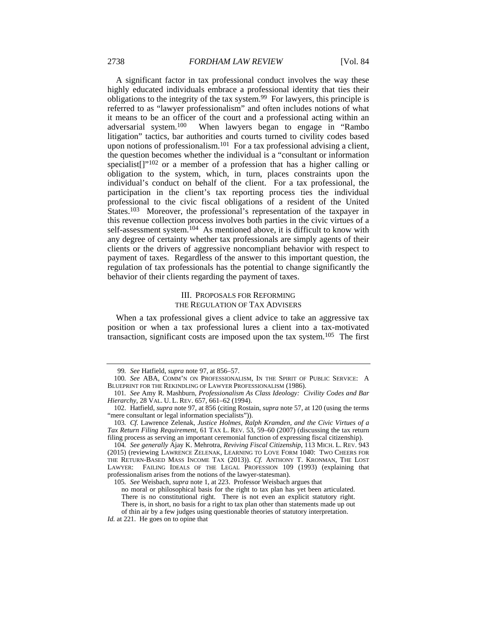A significant factor in tax professional conduct involves the way these highly educated individuals embrace a professional identity that ties their obligations to the integrity of the tax system.99 For lawyers, this principle is referred to as "lawyer professionalism" and often includes notions of what it means to be an officer of the court and a professional acting within an adversarial system.100 When lawyers began to engage in "Rambo litigation" tactics, bar authorities and courts turned to civility codes based upon notions of professionalism.<sup>101</sup> For a tax professional advising a client, the question becomes whether the individual is a "consultant or information specialist<sup>[]"102</sup> or a member of a profession that has a higher calling or obligation to the system, which, in turn, places constraints upon the individual's conduct on behalf of the client. For a tax professional, the participation in the client's tax reporting process ties the individual professional to the civic fiscal obligations of a resident of the United States.<sup>103</sup> Moreover, the professional's representation of the taxpayer in this revenue collection process involves both parties in the civic virtues of a self-assessment system.<sup>104</sup> As mentioned above, it is difficult to know with any degree of certainty whether tax professionals are simply agents of their clients or the drivers of aggressive noncompliant behavior with respect to payment of taxes. Regardless of the answer to this important question, the regulation of tax professionals has the potential to change significantly the behavior of their clients regarding the payment of taxes.

#### III. PROPOSALS FOR REFORMING THE REGULATION OF TAX ADVISERS

When a tax professional gives a client advice to take an aggressive tax position or when a tax professional lures a client into a tax-motivated transaction, significant costs are imposed upon the tax system.105 The first

<sup>99</sup>*. See* Hatfield, *supra* note 97, at 856–57.

<sup>100</sup>*. See* ABA, COMM'N ON PROFESSIONALISM, IN THE SPIRIT OF PUBLIC SERVICE: A BLUEPRINT FOR THE REKINDLING OF LAWYER PROFESSIONALISM (1986).

<sup>101</sup>*. See* Amy R. Mashburn, *Professionalism As Class Ideology: Civility Codes and Bar Hierarchy*, 28 VAL. U. L. REV. 657, 661–62 (1994).

 <sup>102.</sup> Hatfield, *supra* note 97, at 856 (citing Rostain, *supra* note 57, at 120 (using the terms "mere consultant or legal information specialists")).

<sup>103</sup>*. Cf.* Lawrence Zelenak, *Justice Holmes, Ralph Kramden, and the Civic Virtues of a Tax Return Filing Requirement*, 61 TAX L. REV. 53, 59–60 (2007) (discussing the tax return filing process as serving an important ceremonial function of expressing fiscal citizenship).

<sup>104</sup>*. See generally* Ajay K. Mehrotra, *Reviving Fiscal Citizenship*, 113 MICH. L. REV. 943 (2015) (reviewing LAWRENCE ZELENAK, LEARNING TO LOVE FORM 1040: TWO CHEERS FOR THE RETURN-BASED MASS INCOME TAX (2013)). *Cf.* ANTHONY T. KRONMAN, THE LOST LAWYER: FAILING IDEALS OF THE LEGAL PROFESSION 109 (1993) (explaining that professionalism arises from the notions of the lawyer-statesman).

<sup>105</sup>*. See* Weisbach, *supra* note 1, at 223. Professor Weisbach argues that no moral or philosophical basis for the right to tax plan has yet been articulated. There is no constitutional right. There is not even an explicit statutory right. There is, in short, no basis for a right to tax plan other than statements made up out of thin air by a few judges using questionable theories of statutory interpretation.

*Id.* at 221. He goes on to opine that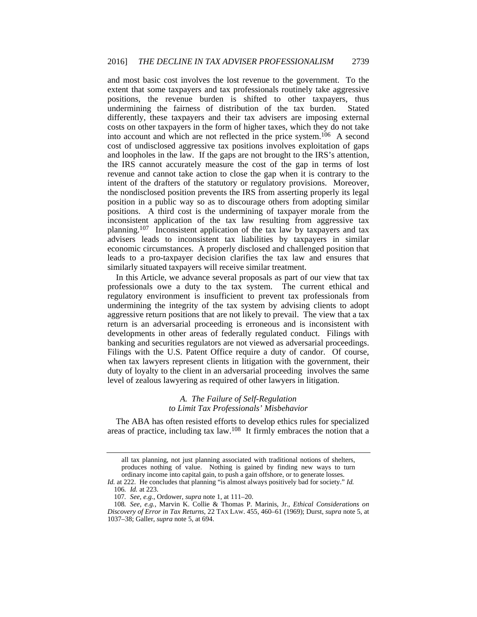and most basic cost involves the lost revenue to the government. To the extent that some taxpayers and tax professionals routinely take aggressive positions, the revenue burden is shifted to other taxpayers, thus undermining the fairness of distribution of the tax burden. Stated differently, these taxpayers and their tax advisers are imposing external costs on other taxpayers in the form of higher taxes, which they do not take into account and which are not reflected in the price system.106 A second cost of undisclosed aggressive tax positions involves exploitation of gaps and loopholes in the law. If the gaps are not brought to the IRS's attention, the IRS cannot accurately measure the cost of the gap in terms of lost revenue and cannot take action to close the gap when it is contrary to the intent of the drafters of the statutory or regulatory provisions. Moreover, the nondisclosed position prevents the IRS from asserting properly its legal position in a public way so as to discourage others from adopting similar positions. A third cost is the undermining of taxpayer morale from the inconsistent application of the tax law resulting from aggressive tax planning.107 Inconsistent application of the tax law by taxpayers and tax advisers leads to inconsistent tax liabilities by taxpayers in similar economic circumstances. A properly disclosed and challenged position that leads to a pro-taxpayer decision clarifies the tax law and ensures that similarly situated taxpayers will receive similar treatment.

In this Article, we advance several proposals as part of our view that tax professionals owe a duty to the tax system. The current ethical and regulatory environment is insufficient to prevent tax professionals from undermining the integrity of the tax system by advising clients to adopt aggressive return positions that are not likely to prevail. The view that a tax return is an adversarial proceeding is erroneous and is inconsistent with developments in other areas of federally regulated conduct. Filings with banking and securities regulators are not viewed as adversarial proceedings. Filings with the U.S. Patent Office require a duty of candor. Of course, when tax lawyers represent clients in litigation with the government, their duty of loyalty to the client in an adversarial proceeding involves the same level of zealous lawyering as required of other lawyers in litigation.

#### *A. The Failure of Self-Regulation to Limit Tax Professionals' Misbehavior*

The ABA has often resisted efforts to develop ethics rules for specialized areas of practice, including tax law.108 It firmly embraces the notion that a

all tax planning, not just planning associated with traditional notions of shelters, produces nothing of value. Nothing is gained by finding new ways to turn ordinary income into capital gain, to push a gain offshore, or to generate losses.

*Id.* at 222. He concludes that planning "is almost always positively bad for society." *Id.* 106*. Id.* at 223.

<sup>107</sup>*. See, e.g.*, Ordower, *supra* note 1, at 111–20.

<sup>108</sup>*. See, e.g.*, Marvin K. Collie & Thomas P. Marinis, Jr., *Ethical Considerations on Discovery of Error in Tax Returns*, 22 TAX LAW. 455, 460–61 (1969); Durst, *supra* note 5, at 1037–38; Galler, *supra* note 5, at 694.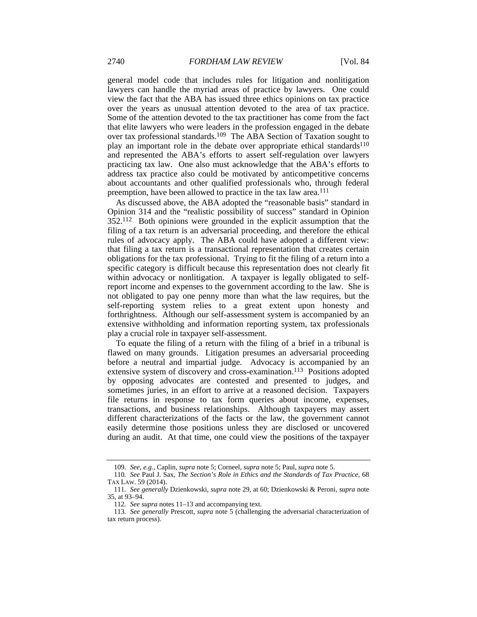general model code that includes rules for litigation and nonlitigation lawyers can handle the myriad areas of practice by lawyers. One could view the fact that the ABA has issued three ethics opinions on tax practice over the years as unusual attention devoted to the area of tax practice. Some of the attention devoted to the tax practitioner has come from the fact that elite lawyers who were leaders in the profession engaged in the debate over tax professional standards.109 The ABA Section of Taxation sought to play an important role in the debate over appropriate ethical standards<sup>110</sup> and represented the ABA's efforts to assert self-regulation over lawyers practicing tax law. One also must acknowledge that the ABA's efforts to address tax practice also could be motivated by anticompetitive concerns about accountants and other qualified professionals who, through federal preemption, have been allowed to practice in the tax law area.<sup>111</sup>

As discussed above, the ABA adopted the "reasonable basis" standard in Opinion 314 and the "realistic possibility of success" standard in Opinion 352.112 Both opinions were grounded in the explicit assumption that the filing of a tax return is an adversarial proceeding, and therefore the ethical rules of advocacy apply. The ABA could have adopted a different view: that filing a tax return is a transactional representation that creates certain obligations for the tax professional. Trying to fit the filing of a return into a specific category is difficult because this representation does not clearly fit within advocacy or nonlitigation. A taxpayer is legally obligated to selfreport income and expenses to the government according to the law. She is not obligated to pay one penny more than what the law requires, but the self-reporting system relies to a great extent upon honesty and forthrightness. Although our self-assessment system is accompanied by an extensive withholding and information reporting system, tax professionals play a crucial role in taxpayer self-assessment.

To equate the filing of a return with the filing of a brief in a tribunal is flawed on many grounds. Litigation presumes an adversarial proceeding before a neutral and impartial judge. Advocacy is accompanied by an extensive system of discovery and cross-examination.<sup>113</sup> Positions adopted by opposing advocates are contested and presented to judges, and sometimes juries, in an effort to arrive at a reasoned decision. Taxpayers file returns in response to tax form queries about income, expenses, transactions, and business relationships. Although taxpayers may assert different characterizations of the facts or the law, the government cannot easily determine those positions unless they are disclosed or uncovered during an audit. At that time, one could view the positions of the taxpayer

<sup>109</sup>*. See, e.g.*, Caplin, *supra* note 5; Corneel, *supra* note 5; Paul, *supra* note 5.

<sup>110</sup>*. See* Paul J. Sax, *The Section's Role in Ethics and the Standards of Tax Practice*, 68 TAX LAW. 59 (2014).

<sup>111</sup>*. See generally* Dzienkowski, *supra* note 29, at 60; Dzienkowski & Peroni, *supra* note 35, at 93–94.

<sup>112</sup>*. See supra* notes 11–13 and accompanying text.

<sup>113</sup>*. See generally* Prescott, *supra* note 5 (challenging the adversarial characterization of tax return process).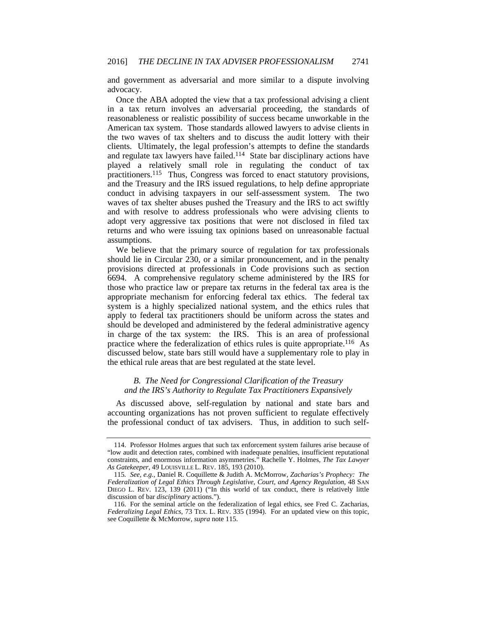and government as adversarial and more similar to a dispute involving advocacy.

Once the ABA adopted the view that a tax professional advising a client in a tax return involves an adversarial proceeding, the standards of reasonableness or realistic possibility of success became unworkable in the American tax system. Those standards allowed lawyers to advise clients in the two waves of tax shelters and to discuss the audit lottery with their clients. Ultimately, the legal profession's attempts to define the standards and regulate tax lawyers have failed.114 State bar disciplinary actions have played a relatively small role in regulating the conduct of tax practitioners.115 Thus, Congress was forced to enact statutory provisions, and the Treasury and the IRS issued regulations, to help define appropriate conduct in advising taxpayers in our self-assessment system. The two waves of tax shelter abuses pushed the Treasury and the IRS to act swiftly and with resolve to address professionals who were advising clients to adopt very aggressive tax positions that were not disclosed in filed tax returns and who were issuing tax opinions based on unreasonable factual assumptions.

We believe that the primary source of regulation for tax professionals should lie in Circular 230, or a similar pronouncement, and in the penalty provisions directed at professionals in Code provisions such as section 6694. A comprehensive regulatory scheme administered by the IRS for those who practice law or prepare tax returns in the federal tax area is the appropriate mechanism for enforcing federal tax ethics. The federal tax system is a highly specialized national system, and the ethics rules that apply to federal tax practitioners should be uniform across the states and should be developed and administered by the federal administrative agency in charge of the tax system: the IRS. This is an area of professional practice where the federalization of ethics rules is quite appropriate.116 As discussed below, state bars still would have a supplementary role to play in the ethical rule areas that are best regulated at the state level.

#### *B. The Need for Congressional Clarification of the Treasury and the IRS's Authority to Regulate Tax Practitioners Expansively*

As discussed above, self-regulation by national and state bars and accounting organizations has not proven sufficient to regulate effectively the professional conduct of tax advisers. Thus, in addition to such self-

 <sup>114.</sup> Professor Holmes argues that such tax enforcement system failures arise because of "low audit and detection rates, combined with inadequate penalties, insufficient reputational constraints, and enormous information asymmetries." Rachelle Y. Holmes, *The Tax Lawyer As Gatekeeper*, 49 LOUISVILLE L. REV. 185, 193 (2010).

<sup>115</sup>*. See, e.g.*, Daniel R. Coquillette & Judith A. McMorrow, *Zacharias's Prophecy: The Federalization of Legal Ethics Through Legislative, Court, and Agency Regulation*, 48 SAN DIEGO L. REV. 123, 139 (2011) ("In this world of tax conduct, there is relatively little discussion of bar *disciplinary* actions.").

 <sup>116.</sup> For the seminal article on the federalization of legal ethics, see Fred C. Zacharias, *Federalizing Legal Ethics*, 73 TEX. L. REV. 335 (1994). For an updated view on this topic, see Coquillette & McMorrow, *supra* note 115.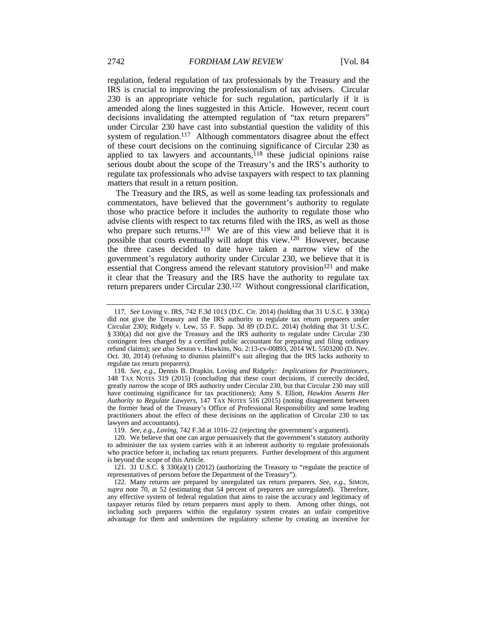regulation, federal regulation of tax professionals by the Treasury and the IRS is crucial to improving the professionalism of tax advisers. Circular 230 is an appropriate vehicle for such regulation, particularly if it is amended along the lines suggested in this Article. However, recent court decisions invalidating the attempted regulation of "tax return preparers" under Circular 230 have cast into substantial question the validity of this system of regulation.<sup>117</sup> Although commentators disagree about the effect of these court decisions on the continuing significance of Circular 230 as applied to tax lawyers and accountants, $118$  these judicial opinions raise serious doubt about the scope of the Treasury's and the IRS's authority to regulate tax professionals who advise taxpayers with respect to tax planning matters that result in a return position.

The Treasury and the IRS, as well as some leading tax professionals and commentators, have believed that the government's authority to regulate those who practice before it includes the authority to regulate those who advise clients with respect to tax returns filed with the IRS, as well as those who prepare such returns.<sup>119</sup> We are of this view and believe that it is possible that courts eventually will adopt this view.120 However, because the three cases decided to date have taken a narrow view of the government's regulatory authority under Circular 230, we believe that it is essential that Congress amend the relevant statutory provision<sup>121</sup> and make it clear that the Treasury and the IRS have the authority to regulate tax return preparers under Circular 230.122 Without congressional clarification,

119*. See, e.g.*, *Loving*, 742 F.3d at 1016–22 (rejecting the government's argument).

 121. 31 U.S.C. § 330(a)(1) (2012) (authorizing the Treasury to "regulate the practice of representatives of persons before the Department of the Treasury").

<sup>117</sup>*. See* Loving v. IRS, 742 F.3d 1013 (D.C. Cir. 2014) (holding that 31 U.S.C. § 330(a) did not give the Treasury and the IRS authority to regulate tax return preparers under Circular 230); Ridgely v. Lew, 55 F. Supp. 3d 89 (D.D.C. 2014) (holding that 31 U.S.C. § 330(a) did not give the Treasury and the IRS authority to regulate under Circular 230 contingent fees charged by a certified public accountant for preparing and filing ordinary refund claims); *see also* Sexton v. Hawkins, No. 2:13-cv-00893, 2014 WL 5503200 (D. Nev. Oct. 30, 2014) (refusing to dismiss plaintiff's suit alleging that the IRS lacks authority to regulate tax return preparers).

<sup>118</sup>*. See, e.g.*, Dennis B. Drapkin, Loving *and* Ridgely*: Implications for Practitioners*, 148 TAX NOTES 319 (2015) (concluding that these court decisions, if correctly decided, greatly narrow the scope of IRS authority under Circular 230, but that Circular 230 may still have continuing significance for tax practitioners); Amy S. Elliott, *Hawkins Asserts Her Authority to Regulate Lawyers*, 147 TAX NOTES 516 (2015) (noting disagreement between the former head of the Treasury's Office of Professional Responsibility and some leading practitioners about the effect of these decisions on the application of Circular 230 to tax lawyers and accountants).

 <sup>120.</sup> We believe that one can argue persuasively that the government's statutory authority to administer the tax system carries with it an inherent authority to regulate professionals who practice before it, including tax return preparers. Further development of this argument is beyond the scope of this Article.

 <sup>122.</sup> Many returns are prepared by unregulated tax return preparers. *See, e.g.*, SIMON, *supra* note 70, at 52 (estimating that 54 percent of preparers are unregulated). Therefore, any effective system of federal regulation that aims to raise the accuracy and legitimacy of taxpayer returns filed by return preparers must apply to them. Among other things, not including such preparers within the regulatory system creates an unfair competitive advantage for them and undermines the regulatory scheme by creating an incentive for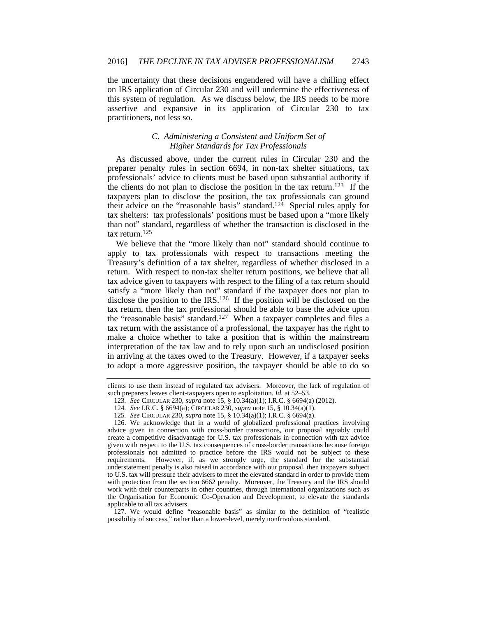the uncertainty that these decisions engendered will have a chilling effect on IRS application of Circular 230 and will undermine the effectiveness of this system of regulation. As we discuss below, the IRS needs to be more assertive and expansive in its application of Circular 230 to tax practitioners, not less so.

#### *C. Administering a Consistent and Uniform Set of Higher Standards for Tax Professionals*

As discussed above, under the current rules in Circular 230 and the preparer penalty rules in section 6694, in non-tax shelter situations, tax professionals' advice to clients must be based upon substantial authority if the clients do not plan to disclose the position in the tax return.<sup>123</sup> If the taxpayers plan to disclose the position, the tax professionals can ground their advice on the "reasonable basis" standard.124 Special rules apply for tax shelters: tax professionals' positions must be based upon a "more likely than not" standard, regardless of whether the transaction is disclosed in the tax return.125

We believe that the "more likely than not" standard should continue to apply to tax professionals with respect to transactions meeting the Treasury's definition of a tax shelter, regardless of whether disclosed in a return. With respect to non-tax shelter return positions, we believe that all tax advice given to taxpayers with respect to the filing of a tax return should satisfy a "more likely than not" standard if the taxpayer does not plan to disclose the position to the IRS.<sup>126</sup> If the position will be disclosed on the tax return, then the tax professional should be able to base the advice upon the "reasonable basis" standard.127 When a taxpayer completes and files a tax return with the assistance of a professional, the taxpayer has the right to make a choice whether to take a position that is within the mainstream interpretation of the tax law and to rely upon such an undisclosed position in arriving at the taxes owed to the Treasury. However, if a taxpayer seeks to adopt a more aggressive position, the taxpayer should be able to do so

 127. We would define "reasonable basis" as similar to the definition of "realistic possibility of success," rather than a lower-level, merely nonfrivolous standard.

clients to use them instead of regulated tax advisers. Moreover, the lack of regulation of such preparers leaves client-taxpayers open to exploitation. *Id.* at 52–53.

<sup>123</sup>*. See* CIRCULAR 230, *supra* note 15, § 10.34(a)(1); I.R.C. § 6694(a) (2012).

<sup>124</sup>*. See* I.R.C. § 6694(a); CIRCULAR 230, *supra* note 15, § 10.34(a)(1).

<sup>125</sup>*. See* CIRCULAR 230, *supra* note 15, § 10.34(a)(1); I.R.C. § 6694(a).

 <sup>126.</sup> We acknowledge that in a world of globalized professional practices involving advice given in connection with cross-border transactions, our proposal arguably could create a competitive disadvantage for U.S. tax professionals in connection with tax advice given with respect to the U.S. tax consequences of cross-border transactions because foreign professionals not admitted to practice before the IRS would not be subject to these requirements. However, if, as we strongly urge, the standard for the substantial understatement penalty is also raised in accordance with our proposal, then taxpayers subject to U.S. tax will pressure their advisers to meet the elevated standard in order to provide them with protection from the section 6662 penalty. Moreover, the Treasury and the IRS should work with their counterparts in other countries, through international organizations such as the Organisation for Economic Co-Operation and Development, to elevate the standards applicable to all tax advisers.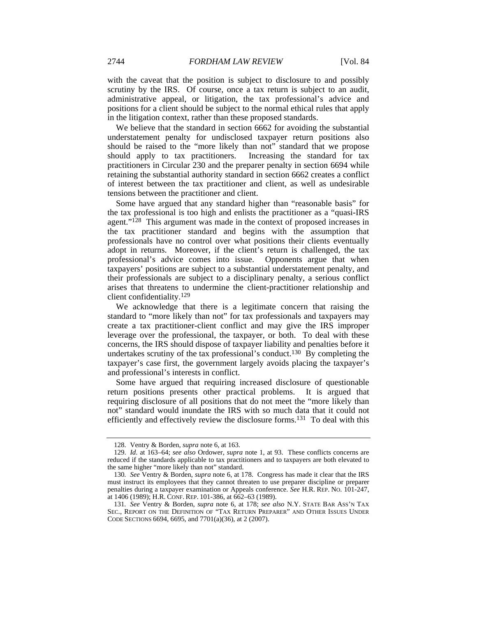with the caveat that the position is subject to disclosure to and possibly scrutiny by the IRS. Of course, once a tax return is subject to an audit, administrative appeal, or litigation, the tax professional's advice and positions for a client should be subject to the normal ethical rules that apply in the litigation context, rather than these proposed standards.

We believe that the standard in section 6662 for avoiding the substantial understatement penalty for undisclosed taxpayer return positions also should be raised to the "more likely than not" standard that we propose should apply to tax practitioners. Increasing the standard for tax practitioners in Circular 230 and the preparer penalty in section 6694 while retaining the substantial authority standard in section 6662 creates a conflict of interest between the tax practitioner and client, as well as undesirable tensions between the practitioner and client.

Some have argued that any standard higher than "reasonable basis" for the tax professional is too high and enlists the practitioner as a "quasi-IRS agent."<sup>128</sup> This argument was made in the context of proposed increases in the tax practitioner standard and begins with the assumption that professionals have no control over what positions their clients eventually adopt in returns. Moreover, if the client's return is challenged, the tax professional's advice comes into issue. Opponents argue that when taxpayers' positions are subject to a substantial understatement penalty, and their professionals are subject to a disciplinary penalty, a serious conflict arises that threatens to undermine the client-practitioner relationship and client confidentiality.129

We acknowledge that there is a legitimate concern that raising the standard to "more likely than not" for tax professionals and taxpayers may create a tax practitioner-client conflict and may give the IRS improper leverage over the professional, the taxpayer, or both. To deal with these concerns, the IRS should dispose of taxpayer liability and penalties before it undertakes scrutiny of the tax professional's conduct.130 By completing the taxpayer's case first, the government largely avoids placing the taxpayer's and professional's interests in conflict.

Some have argued that requiring increased disclosure of questionable return positions presents other practical problems. It is argued that requiring disclosure of all positions that do not meet the "more likely than not" standard would inundate the IRS with so much data that it could not efficiently and effectively review the disclosure forms.131 To deal with this

 <sup>128.</sup> Ventry & Borden, *supra* note 6, at 163.

 <sup>129.</sup> *Id*. at 163–64; *see also* Ordower, *supra* note 1, at 93. These conflicts concerns are reduced if the standards applicable to tax practitioners and to taxpayers are both elevated to the same higher "more likely than not" standard.

<sup>130</sup>*. See* Ventry & Borden, *supra* note 6, at 178. Congress has made it clear that the IRS must instruct its employees that they cannot threaten to use preparer discipline or preparer penalties during a taxpayer examination or Appeals conference. *See* H.R. REP. NO. 101-247, at 1406 (1989); H.R. CONF. REP. 101-386, at 662–63 (1989).

<sup>131</sup>*. See* Ventry & Borden, *supra* note 6, at 178; *see also* N.Y. STATE BAR ASS'N TAX SEC., REPORT ON THE DEFINITION OF "TAX RETURN PREPARER" AND OTHER ISSUES UNDER CODE SECTIONS 6694, 6695, and 7701(a)(36), at 2 (2007).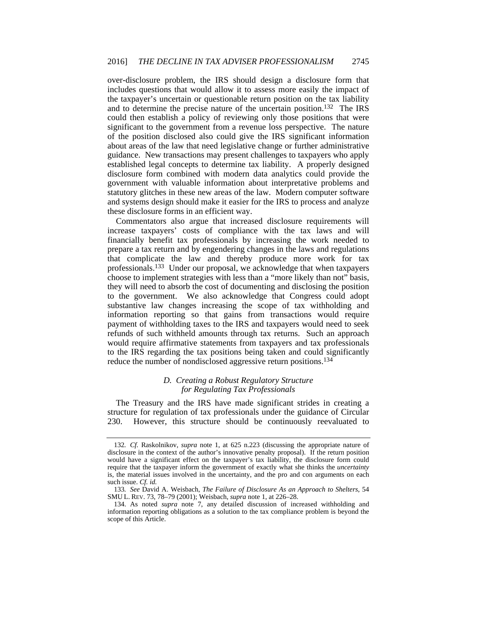over-disclosure problem, the IRS should design a disclosure form that includes questions that would allow it to assess more easily the impact of the taxpayer's uncertain or questionable return position on the tax liability and to determine the precise nature of the uncertain position.132 The IRS could then establish a policy of reviewing only those positions that were significant to the government from a revenue loss perspective. The nature of the position disclosed also could give the IRS significant information about areas of the law that need legislative change or further administrative guidance. New transactions may present challenges to taxpayers who apply established legal concepts to determine tax liability. A properly designed disclosure form combined with modern data analytics could provide the government with valuable information about interpretative problems and statutory glitches in these new areas of the law. Modern computer software and systems design should make it easier for the IRS to process and analyze these disclosure forms in an efficient way.

Commentators also argue that increased disclosure requirements will increase taxpayers' costs of compliance with the tax laws and will financially benefit tax professionals by increasing the work needed to prepare a tax return and by engendering changes in the laws and regulations that complicate the law and thereby produce more work for tax professionals.133 Under our proposal, we acknowledge that when taxpayers choose to implement strategies with less than a "more likely than not" basis, they will need to absorb the cost of documenting and disclosing the position to the government. We also acknowledge that Congress could adopt substantive law changes increasing the scope of tax withholding and information reporting so that gains from transactions would require payment of withholding taxes to the IRS and taxpayers would need to seek refunds of such withheld amounts through tax returns. Such an approach would require affirmative statements from taxpayers and tax professionals to the IRS regarding the tax positions being taken and could significantly reduce the number of nondisclosed aggressive return positions.<sup>134</sup>

#### *D. Creating a Robust Regulatory Structure for Regulating Tax Professionals*

The Treasury and the IRS have made significant strides in creating a structure for regulation of tax professionals under the guidance of Circular 230. However, this structure should be continuously reevaluated to

<sup>132</sup>*. Cf.* Raskolnikov, *supra* note 1, at 625 n.223 (discussing the appropriate nature of disclosure in the context of the author's innovative penalty proposal). If the return position would have a significant effect on the taxpayer's tax liability, the disclosure form could require that the taxpayer inform the government of exactly what she thinks the *uncertainty* is, the material issues involved in the uncertainty, and the pro and con arguments on each such issue. *Cf. id.*

<sup>133</sup>*. See* David A. Weisbach, *The Failure of Disclosure As an Approach to Shelters*, 54 SMU L. REV. 73, 78–79 (2001); Weisbach, *supra* note 1, at 226–28.

 <sup>134.</sup> As noted *supra* note 7, any detailed discussion of increased withholding and information reporting obligations as a solution to the tax compliance problem is beyond the scope of this Article.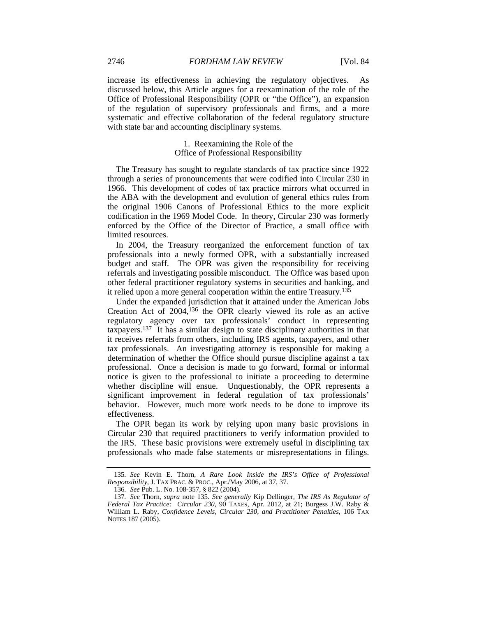increase its effectiveness in achieving the regulatory objectives. As discussed below, this Article argues for a reexamination of the role of the Office of Professional Responsibility (OPR or "the Office"), an expansion of the regulation of supervisory professionals and firms, and a more systematic and effective collaboration of the federal regulatory structure with state bar and accounting disciplinary systems.

#### 1. Reexamining the Role of the Office of Professional Responsibility

The Treasury has sought to regulate standards of tax practice since 1922 through a series of pronouncements that were codified into Circular 230 in 1966. This development of codes of tax practice mirrors what occurred in the ABA with the development and evolution of general ethics rules from the original 1906 Canons of Professional Ethics to the more explicit codification in the 1969 Model Code. In theory, Circular 230 was formerly enforced by the Office of the Director of Practice, a small office with limited resources.

In 2004, the Treasury reorganized the enforcement function of tax professionals into a newly formed OPR, with a substantially increased budget and staff. The OPR was given the responsibility for receiving referrals and investigating possible misconduct. The Office was based upon other federal practitioner regulatory systems in securities and banking, and it relied upon a more general cooperation within the entire Treasury.<sup>135</sup>

Under the expanded jurisdiction that it attained under the American Jobs Creation Act of 2004,136 the OPR clearly viewed its role as an active regulatory agency over tax professionals' conduct in representing taxpayers.137 It has a similar design to state disciplinary authorities in that it receives referrals from others, including IRS agents, taxpayers, and other tax professionals. An investigating attorney is responsible for making a determination of whether the Office should pursue discipline against a tax professional. Once a decision is made to go forward, formal or informal notice is given to the professional to initiate a proceeding to determine whether discipline will ensue. Unquestionably, the OPR represents a significant improvement in federal regulation of tax professionals' behavior. However, much more work needs to be done to improve its effectiveness.

The OPR began its work by relying upon many basic provisions in Circular 230 that required practitioners to verify information provided to the IRS. These basic provisions were extremely useful in disciplining tax professionals who made false statements or misrepresentations in filings.

<sup>135</sup>*. See* Kevin E. Thorn, *A Rare Look Inside the IRS's Office of Professional Responsibility*, J. TAX PRAC. & PROC., Apr./May 2006, at 37, 37.

<sup>136</sup>*. See* Pub. L. No. 108-357, § 822 (2004).

<sup>137</sup>*. See* Thorn, *supra* note 135. *See generally* Kip Dellinger, *The IRS As Regulator of Federal Tax Practice: Circular 230*, 90 TAXES, Apr. 2012, at 21; Burgess J.W. Raby & William L. Raby, *Confidence Levels, Circular 230, and Practitioner Penalties*, 106 TAX NOTES 187 (2005).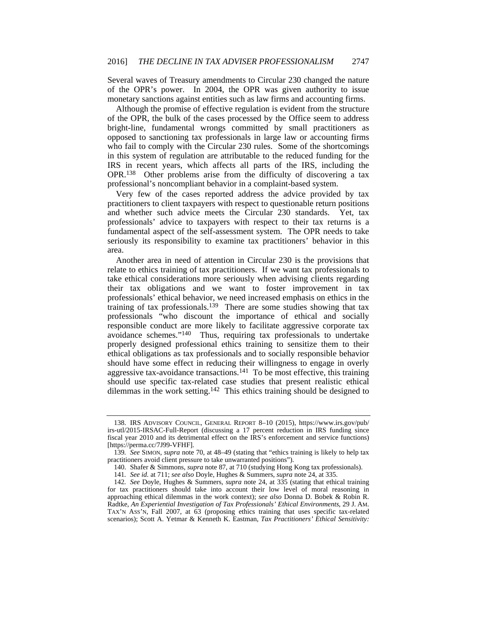Several waves of Treasury amendments to Circular 230 changed the nature of the OPR's power. In 2004, the OPR was given authority to issue monetary sanctions against entities such as law firms and accounting firms.

Although the promise of effective regulation is evident from the structure of the OPR, the bulk of the cases processed by the Office seem to address bright-line, fundamental wrongs committed by small practitioners as opposed to sanctioning tax professionals in large law or accounting firms who fail to comply with the Circular 230 rules. Some of the shortcomings in this system of regulation are attributable to the reduced funding for the IRS in recent years, which affects all parts of the IRS, including the OPR.138 Other problems arise from the difficulty of discovering a tax professional's noncompliant behavior in a complaint-based system.

Very few of the cases reported address the advice provided by tax practitioners to client taxpayers with respect to questionable return positions and whether such advice meets the Circular 230 standards. Yet, tax professionals' advice to taxpayers with respect to their tax returns is a fundamental aspect of the self-assessment system. The OPR needs to take seriously its responsibility to examine tax practitioners' behavior in this area.

Another area in need of attention in Circular 230 is the provisions that relate to ethics training of tax practitioners. If we want tax professionals to take ethical considerations more seriously when advising clients regarding their tax obligations and we want to foster improvement in tax professionals' ethical behavior, we need increased emphasis on ethics in the training of tax professionals.139 There are some studies showing that tax professionals "who discount the importance of ethical and socially responsible conduct are more likely to facilitate aggressive corporate tax avoidance schemes."140 Thus, requiring tax professionals to undertake properly designed professional ethics training to sensitize them to their ethical obligations as tax professionals and to socially responsible behavior should have some effect in reducing their willingness to engage in overly aggressive tax-avoidance transactions.141 To be most effective, this training should use specific tax-related case studies that present realistic ethical dilemmas in the work setting.<sup>142</sup> This ethics training should be designed to

 <sup>138.</sup> IRS ADVISORY COUNCIL, GENERAL REPORT 8–10 (2015), https://www.irs.gov/pub/ irs-utl/2015-IRSAC-Full-Report (discussing a 17 percent reduction in IRS funding since fiscal year 2010 and its detrimental effect on the IRS's enforcement and service functions) [https://perma.cc/7J99-VFHF].

<sup>139</sup>*. See* SIMON, *supra* note 70, at 48–49 (stating that "ethics training is likely to help tax practitioners avoid client pressure to take unwarranted positions").

 <sup>140.</sup> Shafer & Simmons, *supra* note 87, at 710 (studying Hong Kong tax professionals).

<sup>141</sup>*. See id.* at 711; *see also* Doyle, Hughes & Summers, *supra* note 24, at 335.

<sup>142</sup>*. See* Doyle, Hughes & Summers, *supra* note 24, at 335 (stating that ethical training for tax practitioners should take into account their low level of moral reasoning in approaching ethical dilemmas in the work context); *see also* Donna D. Bobek & Robin R. Radtke, *An Experiential Investigation of Tax Professionals' Ethical Environments*, 29 J. AM. TAX'N ASS'N, Fall 2007, at 63 (proposing ethics training that uses specific tax-related scenarios); Scott A. Yetmar & Kenneth K. Eastman, *Tax Practitioners' Ethical Sensitivity:*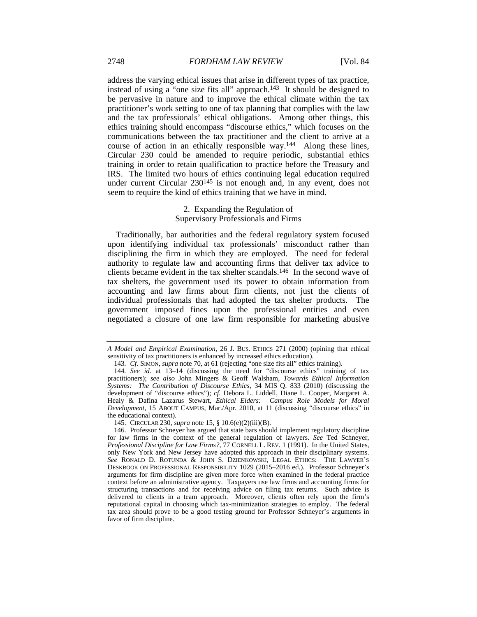address the varying ethical issues that arise in different types of tax practice, instead of using a "one size fits all" approach.<sup>143</sup> It should be designed to be pervasive in nature and to improve the ethical climate within the tax practitioner's work setting to one of tax planning that complies with the law and the tax professionals' ethical obligations. Among other things, this ethics training should encompass "discourse ethics," which focuses on the communications between the tax practitioner and the client to arrive at a course of action in an ethically responsible way.144 Along these lines, Circular 230 could be amended to require periodic, substantial ethics training in order to retain qualification to practice before the Treasury and IRS. The limited two hours of ethics continuing legal education required under current Circular 230<sup>145</sup> is not enough and, in any event, does not seem to require the kind of ethics training that we have in mind.

#### 2. Expanding the Regulation of Supervisory Professionals and Firms

Traditionally, bar authorities and the federal regulatory system focused upon identifying individual tax professionals' misconduct rather than disciplining the firm in which they are employed. The need for federal authority to regulate law and accounting firms that deliver tax advice to clients became evident in the tax shelter scandals.146 In the second wave of tax shelters, the government used its power to obtain information from accounting and law firms about firm clients, not just the clients of individual professionals that had adopted the tax shelter products. The government imposed fines upon the professional entities and even negotiated a closure of one law firm responsible for marketing abusive

*A Model and Empirical Examination*, 26 J. BUS. ETHICS 271 (2000) (opining that ethical sensitivity of tax practitioners is enhanced by increased ethics education).

<sup>143</sup>*. Cf.* SIMON, *supra* note 70, at 61 (rejecting "one size fits all" ethics training).

<sup>144</sup>*. See id.* at 13–14 (discussing the need for "discourse ethics" training of tax practitioners); *see also* John Mingers & Geoff Walsham, *Towards Ethical Information Systems: The Contribution of Discourse Ethics*, 34 MIS Q. 833 (2010) (discussing the development of "discourse ethics"); *cf.* Debora L. Liddell, Diane L. Cooper, Margaret A. Healy & Dafina Lazarus Stewart, *Ethical Elders: Campus Role Models for Moral Development*, 15 ABOUT CAMPUS, Mar./Apr. 2010, at 11 (discussing "discourse ethics" in the educational context).

 <sup>145.</sup> CIRCULAR 230, *supra* note 15, § 10.6(e)(2)(iii)(B).

 <sup>146.</sup> Professor Schneyer has argued that state bars should implement regulatory discipline for law firms in the context of the general regulation of lawyers. *See* Ted Schneyer, *Professional Discipline for Law Firms?*, 77 CORNELL L. REV. 1 (1991). In the United States, only New York and New Jersey have adopted this approach in their disciplinary systems. *See* RONALD D. ROTUNDA & JOHN S. DZIENKOWSKI, LEGAL ETHICS: THE LAWYER'S DESKBOOK ON PROFESSIONAL RESPONSIBILITY 1029 (2015–2016 ed.). Professor Schneyer's arguments for firm discipline are given more force when examined in the federal practice context before an administrative agency. Taxpayers use law firms and accounting firms for structuring transactions and for receiving advice on filing tax returns. Such advice is delivered to clients in a team approach. Moreover, clients often rely upon the firm's reputational capital in choosing which tax-minimization strategies to employ. The federal tax area should prove to be a good testing ground for Professor Schneyer's arguments in favor of firm discipline.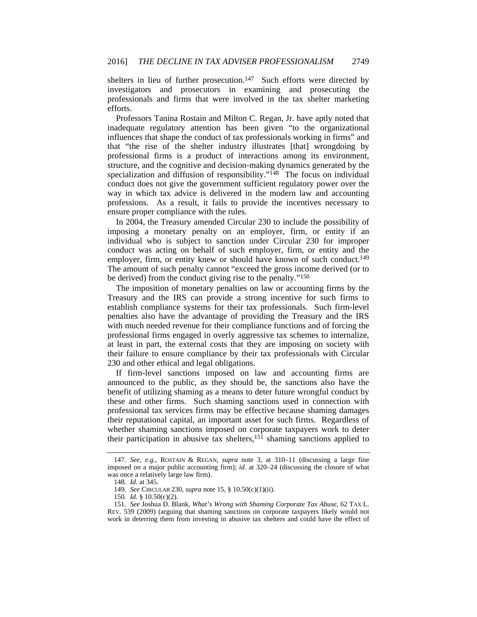shelters in lieu of further prosecution.<sup>147</sup> Such efforts were directed by investigators and prosecutors in examining and prosecuting the professionals and firms that were involved in the tax shelter marketing efforts.

Professors Tanina Rostain and Milton C. Regan, Jr. have aptly noted that inadequate regulatory attention has been given "to the organizational influences that shape the conduct of tax professionals working in firms" and that "the rise of the shelter industry illustrates [that] wrongdoing by professional firms is a product of interactions among its environment, structure, and the cognitive and decision-making dynamics generated by the specialization and diffusion of responsibility."<sup>148</sup> The focus on individual conduct does not give the government sufficient regulatory power over the way in which tax advice is delivered in the modern law and accounting professions. As a result, it fails to provide the incentives necessary to ensure proper compliance with the rules.

In 2004, the Treasury amended Circular 230 to include the possibility of imposing a monetary penalty on an employer, firm, or entity if an individual who is subject to sanction under Circular 230 for improper conduct was acting on behalf of such employer, firm, or entity and the employer, firm, or entity knew or should have known of such conduct.<sup>149</sup> The amount of such penalty cannot "exceed the gross income derived (or to be derived) from the conduct giving rise to the penalty."150

The imposition of monetary penalties on law or accounting firms by the Treasury and the IRS can provide a strong incentive for such firms to establish compliance systems for their tax professionals. Such firm-level penalties also have the advantage of providing the Treasury and the IRS with much needed revenue for their compliance functions and of forcing the professional firms engaged in overly aggressive tax schemes to internalize, at least in part, the external costs that they are imposing on society with their failure to ensure compliance by their tax professionals with Circular 230 and other ethical and legal obligations.

If firm-level sanctions imposed on law and accounting firms are announced to the public, as they should be, the sanctions also have the benefit of utilizing shaming as a means to deter future wrongful conduct by these and other firms. Such shaming sanctions used in connection with professional tax services firms may be effective because shaming damages their reputational capital, an important asset for such firms. Regardless of whether shaming sanctions imposed on corporate taxpayers work to deter their participation in abusive tax shelters,  $15\overline{1}$  shaming sanctions applied to

<sup>147</sup>*. See, e.g.*, ROSTAIN & REGAN, *supra* note 3, at 310–11 (discussing a large fine imposed on a major public accounting firm); *id.* at 320–24 (discussing the closure of what was once a relatively large law firm).

<sup>148</sup>*. Id.* at 345.

<sup>149</sup>*. See* CIRCULAR 230, *supra* note 15, § 10.50(c)(1)(ii).

<sup>150</sup>*. Id.* § 10.50(c)(2).

<sup>151</sup>*. See* Joshua D. Blank, *What's Wrong with Shaming Corporate Tax Abuse*, 62 TAX L. REV. 539 (2009) (arguing that shaming sanctions on corporate taxpayers likely would not work in deterring them from investing in abusive tax shelters and could have the effect of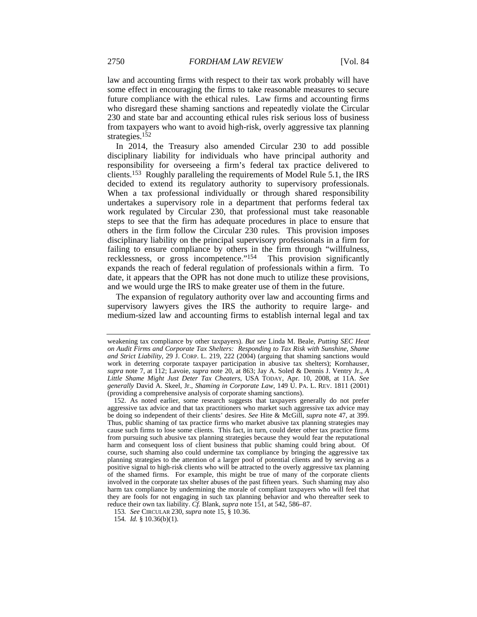law and accounting firms with respect to their tax work probably will have some effect in encouraging the firms to take reasonable measures to secure future compliance with the ethical rules. Law firms and accounting firms who disregard these shaming sanctions and repeatedly violate the Circular 230 and state bar and accounting ethical rules risk serious loss of business from taxpayers who want to avoid high-risk, overly aggressive tax planning strategies.152

In 2014, the Treasury also amended Circular 230 to add possible disciplinary liability for individuals who have principal authority and responsibility for overseeing a firm's federal tax practice delivered to clients.153 Roughly paralleling the requirements of Model Rule 5.1, the IRS decided to extend its regulatory authority to supervisory professionals. When a tax professional individually or through shared responsibility undertakes a supervisory role in a department that performs federal tax work regulated by Circular 230, that professional must take reasonable steps to see that the firm has adequate procedures in place to ensure that others in the firm follow the Circular 230 rules. This provision imposes disciplinary liability on the principal supervisory professionals in a firm for failing to ensure compliance by others in the firm through "willfulness, recklessness, or gross incompetence."154 This provision significantly expands the reach of federal regulation of professionals within a firm. To date, it appears that the OPR has not done much to utilize these provisions, and we would urge the IRS to make greater use of them in the future.

The expansion of regulatory authority over law and accounting firms and supervisory lawyers gives the IRS the authority to require large- and medium-sized law and accounting firms to establish internal legal and tax

weakening tax compliance by other taxpayers). *But see* Linda M. Beale, *Putting SEC Heat on Audit Firms and Corporate Tax Shelters: Responding to Tax Risk with Sunshine, Shame and Strict Liability*, 29 J. CORP. L. 219, 222 (2004) (arguing that shaming sanctions would work in deterring corporate taxpayer participation in abusive tax shelters); Kornhauser, *supra* note 7, at 112; Lavoie, *supra* note 20, at 863; Jay A. Soled & Dennis J. Ventry Jr., *A Little Shame Might Just Deter Tax Cheaters*, USA TODAY, Apr. 10, 2008, at 11A. *See generally* David A. Skeel, Jr., *Shaming in Corporate Law*, 149 U. PA. L. REV. 1811 (2001) (providing a comprehensive analysis of corporate shaming sanctions).

 <sup>152.</sup> As noted earlier, some research suggests that taxpayers generally do not prefer aggressive tax advice and that tax practitioners who market such aggressive tax advice may be doing so independent of their clients' desires. *See* Hite & McGill, *supra* note 47, at 399. Thus, public shaming of tax practice firms who market abusive tax planning strategies may cause such firms to lose some clients. This fact, in turn, could deter other tax practice firms from pursuing such abusive tax planning strategies because they would fear the reputational harm and consequent loss of client business that public shaming could bring about. Of course, such shaming also could undermine tax compliance by bringing the aggressive tax planning strategies to the attention of a larger pool of potential clients and by serving as a positive signal to high-risk clients who will be attracted to the overly aggressive tax planning of the shamed firms. For example, this might be true of many of the corporate clients involved in the corporate tax shelter abuses of the past fifteen years. Such shaming may also harm tax compliance by undermining the morale of compliant taxpayers who will feel that they are fools for not engaging in such tax planning behavior and who thereafter seek to reduce their own tax liability. *Cf.* Blank, *supra* note 151, at 542, 586–87.

<sup>153</sup>*. See* CIRCULAR 230, *supra* note 15, § 10.36.

<sup>154</sup>*. Id.* § 10.36(b)(1).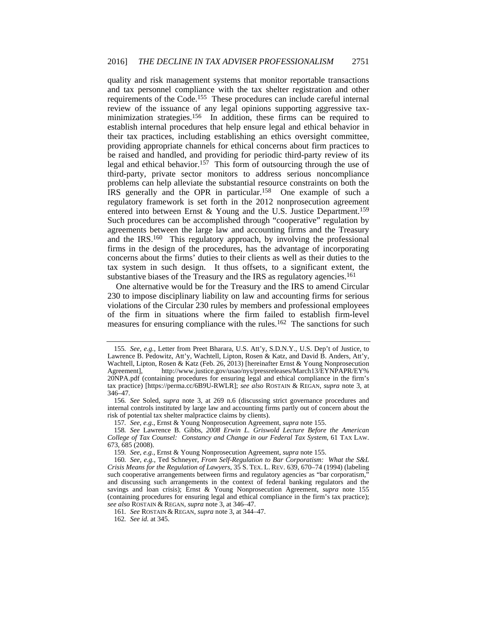quality and risk management systems that monitor reportable transactions and tax personnel compliance with the tax shelter registration and other requirements of the Code.155 These procedures can include careful internal review of the issuance of any legal opinions supporting aggressive taxminimization strategies.156 In addition, these firms can be required to establish internal procedures that help ensure legal and ethical behavior in their tax practices, including establishing an ethics oversight committee, providing appropriate channels for ethical concerns about firm practices to be raised and handled, and providing for periodic third-party review of its legal and ethical behavior.<sup>157</sup> This form of outsourcing through the use of third-party, private sector monitors to address serious noncompliance problems can help alleviate the substantial resource constraints on both the IRS generally and the OPR in particular.158 One example of such a regulatory framework is set forth in the 2012 nonprosecution agreement entered into between Ernst & Young and the U.S. Justice Department.<sup>159</sup> Such procedures can be accomplished through "cooperative" regulation by agreements between the large law and accounting firms and the Treasury and the IRS.160 This regulatory approach, by involving the professional firms in the design of the procedures, has the advantage of incorporating concerns about the firms' duties to their clients as well as their duties to the tax system in such design. It thus offsets, to a significant extent, the substantive biases of the Treasury and the IRS as regulatory agencies.<sup>161</sup>

One alternative would be for the Treasury and the IRS to amend Circular 230 to impose disciplinary liability on law and accounting firms for serious violations of the Circular 230 rules by members and professional employees of the firm in situations where the firm failed to establish firm-level measures for ensuring compliance with the rules.<sup>162</sup> The sanctions for such

<sup>155</sup>*. See, e.g.*, Letter from Preet Bharara, U.S. Att'y, S.D.N.Y., U.S. Dep't of Justice, to Lawrence B. Pedowitz, Att'y, Wachtell, Lipton, Rosen & Katz, and David B. Anders, Att'y, Wachtell, Lipton, Rosen & Katz (Feb. 26, 2013) [hereinafter Ernst & Young Nonprosecution Agreement], http://www.justice.gov/usao/nys/pressreleases/March13/EYNPAPR/EY% 20NPA.pdf (containing procedures for ensuring legal and ethical compliance in the firm's tax practice) [https://perma.cc/6B9U-RWLR]; *see also* ROSTAIN & REGAN, *supra* note 3, at 346–47.

<sup>156</sup>*. See* Soled, *supra* note 3, at 269 n.6 (discussing strict governance procedures and internal controls instituted by large law and accounting firms partly out of concern about the risk of potential tax shelter malpractice claims by clients).

<sup>157</sup>*. See, e.g.*, Ernst & Young Nonprosecution Agreement, *supra* note 155.

<sup>158</sup>*. See* Lawrence B. Gibbs, *2008 Erwin L. Griswold Lecture Before the American College of Tax Counsel: Constancy and Change in our Federal Tax System*, 61 TAX LAW. 673, 685 (2008).

<sup>159</sup>*. See, e.g.*, Ernst & Young Nonprosecution Agreement, *supra* note 155.

<sup>160</sup>*. See, e.g.*, Ted Schneyer, *From Self-Regulation to Bar Corporatism: What the S&L Crisis Means for the Regulation of Lawyers*, 35 S. TEX. L. REV. 639, 670–74 (1994) (labeling such cooperative arrangements between firms and regulatory agencies as "bar corporatism," and discussing such arrangements in the context of federal banking regulators and the savings and loan crisis); Ernst & Young Nonprosecution Agreement, *supra* note 155 (containing procedures for ensuring legal and ethical compliance in the firm's tax practice); *see also* ROSTAIN & REGAN, *supra* note 3, at 346–47.

<sup>161</sup>*. See* ROSTAIN & REGAN, *supra* note 3, at 344–47.

<sup>162</sup>*. See id.* at 345.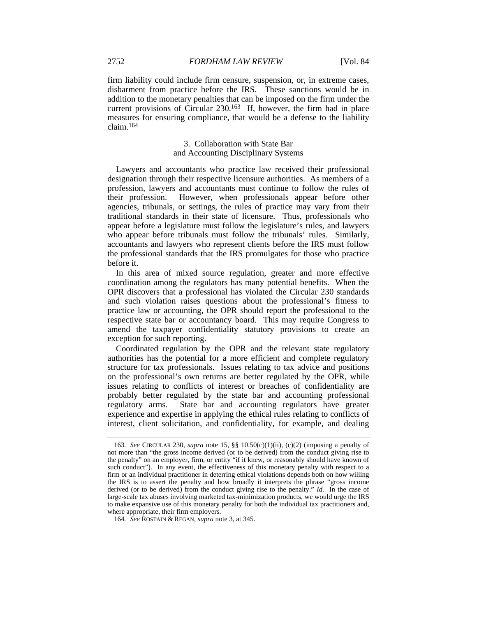firm liability could include firm censure, suspension, or, in extreme cases, disbarment from practice before the IRS. These sanctions would be in addition to the monetary penalties that can be imposed on the firm under the current provisions of Circular 230.163 If, however, the firm had in place measures for ensuring compliance, that would be a defense to the liability claim.164

#### 3. Collaboration with State Bar and Accounting Disciplinary Systems

Lawyers and accountants who practice law received their professional designation through their respective licensure authorities. As members of a profession, lawyers and accountants must continue to follow the rules of their profession. However, when professionals appear before other agencies, tribunals, or settings, the rules of practice may vary from their traditional standards in their state of licensure. Thus, professionals who appear before a legislature must follow the legislature's rules, and lawyers who appear before tribunals must follow the tribunals' rules. Similarly, accountants and lawyers who represent clients before the IRS must follow the professional standards that the IRS promulgates for those who practice before it.

In this area of mixed source regulation, greater and more effective coordination among the regulators has many potential benefits. When the OPR discovers that a professional has violated the Circular 230 standards and such violation raises questions about the professional's fitness to practice law or accounting, the OPR should report the professional to the respective state bar or accountancy board. This may require Congress to amend the taxpayer confidentiality statutory provisions to create an exception for such reporting.

Coordinated regulation by the OPR and the relevant state regulatory authorities has the potential for a more efficient and complete regulatory structure for tax professionals. Issues relating to tax advice and positions on the professional's own returns are better regulated by the OPR, while issues relating to conflicts of interest or breaches of confidentiality are probably better regulated by the state bar and accounting professional regulatory arms. State bar and accounting regulators have greater experience and expertise in applying the ethical rules relating to conflicts of interest, client solicitation, and confidentiality, for example, and dealing

<sup>163</sup>*. See* CIRCULAR 230, *supra* note 15, §§ 10.50(c)(1)(ii), (c)(2) (imposing a penalty of not more than "the gross income derived (or to be derived) from the conduct giving rise to the penalty" on an employer, firm, or entity "if it knew, or reasonably should have known of such conduct"). In any event, the effectiveness of this monetary penalty with respect to a firm or an individual practitioner in deterring ethical violations depends both on how willing the IRS is to assert the penalty and how broadly it interprets the phrase "gross income derived (or to be derived) from the conduct giving rise to the penalty." *Id.* In the case of large-scale tax abuses involving marketed tax-minimization products, we would urge the IRS to make expansive use of this monetary penalty for both the individual tax practitioners and, where appropriate, their firm employers.

<sup>164</sup>*. See* ROSTAIN & REGAN, *supra* note 3, at 345.